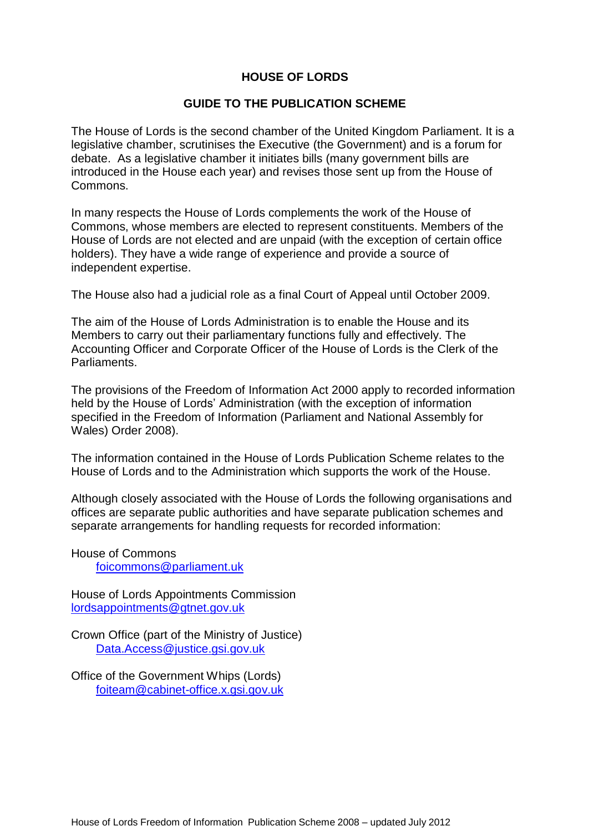## **HOUSE OF LORDS**

#### **GUIDE TO THE PUBLICATION SCHEME**

The House of Lords is the second chamber of the United Kingdom Parliament. It is a legislative chamber, scrutinises the Executive (the Government) and is a forum for debate. As a legislative chamber it initiates bills (many government bills are introduced in the House each year) and revises those sent up from the House of Commons.

In many respects the House of Lords complements the work of the House of Commons, whose members are elected to represent constituents. Members of the House of Lords are not elected and are unpaid (with the exception of certain office holders). They have a wide range of experience and provide a source of independent expertise.

The House also had a judicial role as a final Court of Appeal until October 2009.

The aim of the House of Lords Administration is to enable the House and its Members to carry out their parliamentary functions fully and effectively. The Accounting Officer and Corporate Officer of the House of Lords is the Clerk of the Parliaments.

The provisions of the Freedom of Information Act 2000 apply to recorded information held by the House of Lords' Administration (with the exception of information specified in the Freedom of Information (Parliament and National Assembly for Wales) Order 2008).

The information contained in the House of Lords Publication Scheme relates to the House of Lords and to the Administration which supports the work of the House.

Although closely associated with the House of Lords the following organisations and offices are separate public authorities and have separate publication schemes and separate arrangements for handling requests for recorded information:

House of Commons [foicommons@parliament.uk](mailto:foicommons@parliament.uk)

House of Lords Appointments Commission [lordsappointments@gtnet.gov.uk](mailto:lordsappointments@gtnet.gov.uk)

Crown Office (part of the Ministry of Justice) [Data.Access@justice.gsi.gov.uk](mailto:Data.Access@justice.gsi.gov.uk)

Office of the Government Whips (Lords) [foiteam@cabinet-office.x.gsi.gov.uk](mailto:foiteam@cabinet-office.x.gsi.gov.uk)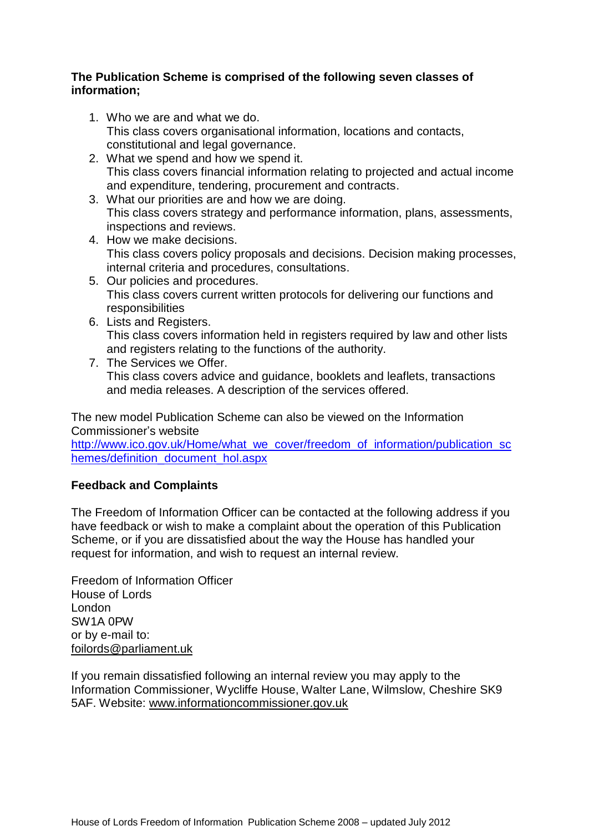### **The Publication Scheme is comprised of the following seven classes of information;**

- 1. Who we are and what we do. This class covers organisational information, locations and contacts, constitutional and legal governance.
- 2. What we spend and how we spend it. This class covers financial information relating to projected and actual income and expenditure, tendering, procurement and contracts.
- 3. What our priorities are and how we are doing. This class covers strategy and performance information, plans, assessments, inspections and reviews.
- 4. How we make decisions. This class covers policy proposals and decisions. Decision making processes, internal criteria and procedures, consultations.
- 5. Our policies and procedures. This class covers current written protocols for delivering our functions and **responsibilities**
- 6. Lists and Registers. This class covers information held in registers required by law and other lists and registers relating to the functions of the authority.
- 7. The Services we Offer. This class covers advice and guidance, booklets and leaflets, transactions and media releases. A description of the services offered.

The new model Publication Scheme can also be viewed on the Information Commissioner's website

[http://www.ico.gov.uk/Home/what\\_we\\_cover/freedom\\_of\\_information/publication\\_sc](http://www.ico.gov.uk/Home/what_we_cover/freedom_of_information/publication_schemes/definition_document_hol.aspx) [hemes/definition\\_document\\_hol.aspx](http://www.ico.gov.uk/Home/what_we_cover/freedom_of_information/publication_schemes/definition_document_hol.aspx)

## **Feedback and Complaints**

The Freedom of Information Officer can be contacted at the following address if you have feedback or wish to make a complaint about the operation of this Publication Scheme, or if you are dissatisfied about the way the House has handled your request for information, and wish to request an internal review.

Freedom of Information Officer House of Lords London SW1A 0PW or by e-mail to: [foilords@parliament.uk](mailto:foilords@parliament.uk)

If you remain dissatisfied following an internal review you may apply to the Information Commissioner, Wycliffe House, Walter Lane, Wilmslow, Cheshire SK9 5AF. Website: [www.informationcommissioner.gov.uk](http://www.informationcommissioner.gov.uk/)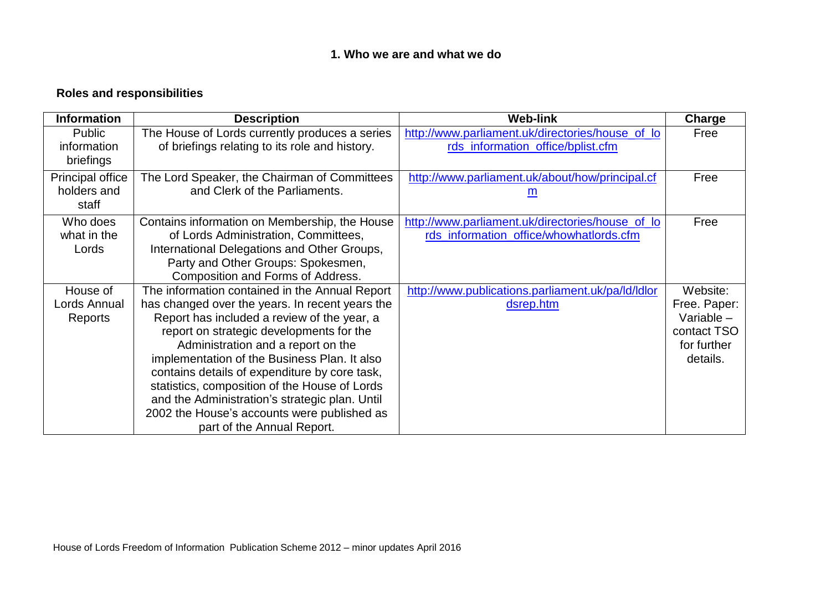## **1. Who we are and what we do**

# **Roles and responsibilities**

| <b>Information</b>      | <b>Description</b>                              | <b>Web-link</b>                                   | Charge       |
|-------------------------|-------------------------------------------------|---------------------------------------------------|--------------|
| Public                  | The House of Lords currently produces a series  | http://www.parliament.uk/directories/house_of_lo  | Free         |
| information             | of briefings relating to its role and history.  | rds_information_office/bplist.cfm                 |              |
| briefings               |                                                 |                                                   |              |
| <b>Principal office</b> | The Lord Speaker, the Chairman of Committees    | http://www.parliament.uk/about/how/principal.cf   | Free         |
| holders and             | and Clerk of the Parliaments.                   | m                                                 |              |
| staff                   |                                                 |                                                   |              |
| Who does                | Contains information on Membership, the House   | http://www.parliament.uk/directories/house_of_lo  | Free         |
| what in the             | of Lords Administration, Committees,            | rds_information_office/whowhatlords.cfm           |              |
| Lords                   | International Delegations and Other Groups,     |                                                   |              |
|                         | Party and Other Groups: Spokesmen,              |                                                   |              |
|                         | Composition and Forms of Address.               |                                                   |              |
| House of                | The information contained in the Annual Report  | http://www.publications.parliament.uk/pa/ld/ldlor | Website:     |
| Lords Annual            | has changed over the years. In recent years the | dsrep.htm                                         | Free. Paper: |
| Reports                 | Report has included a review of the year, a     |                                                   | Variable -   |
|                         | report on strategic developments for the        |                                                   | contact TSO  |
|                         | Administration and a report on the              |                                                   | for further  |
|                         | implementation of the Business Plan. It also    |                                                   | details.     |
|                         | contains details of expenditure by core task,   |                                                   |              |
|                         | statistics, composition of the House of Lords   |                                                   |              |
|                         | and the Administration's strategic plan. Until  |                                                   |              |
|                         | 2002 the House's accounts were published as     |                                                   |              |
|                         | part of the Annual Report.                      |                                                   |              |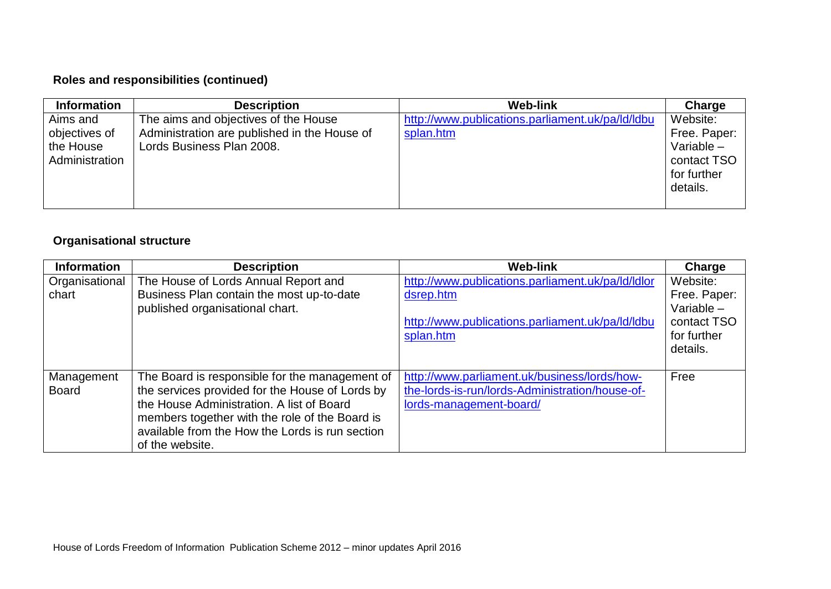## **Roles and responsibilities (continued)**

| <b>Information</b> | <b>Description</b>                           | <b>Web-link</b>                                  | Charge       |
|--------------------|----------------------------------------------|--------------------------------------------------|--------------|
| Aims and           | The aims and objectives of the House         | http://www.publications.parliament.uk/pa/ld/ldbu | Website:     |
| objectives of      | Administration are published in the House of | splan.htm                                        | Free. Paper: |
| the House          | Lords Business Plan 2008.                    |                                                  | Variable $-$ |
| Administration     |                                              |                                                  | contact TSO  |
|                    |                                              |                                                  | for further  |
|                    |                                              |                                                  | details.     |
|                    |                                              |                                                  |              |

## **Organisational structure**

| <b>Information</b> | <b>Description</b>                                                           | <b>Web-link</b>                                   | Charge                       |
|--------------------|------------------------------------------------------------------------------|---------------------------------------------------|------------------------------|
| Organisational     | The House of Lords Annual Report and                                         | http://www.publications.parliament.uk/pa/ld/ldlor | Website:                     |
| chart              | Business Plan contain the most up-to-date<br>published organisational chart. | dsrep.htm                                         | Free. Paper:<br>Variable $-$ |
|                    |                                                                              | http://www.publications.parliament.uk/pa/ld/ldbu  | contact TSO                  |
|                    |                                                                              | splan.htm                                         | for further                  |
|                    |                                                                              |                                                   | details.                     |
|                    |                                                                              |                                                   |                              |
| Management         | The Board is responsible for the management of                               | http://www.parliament.uk/business/lords/how-      | Free                         |
| <b>Board</b>       | the services provided for the House of Lords by                              | the-lords-is-run/lords-Administration/house-of-   |                              |
|                    | the House Administration. A list of Board                                    | lords-management-board/                           |                              |
|                    | members together with the role of the Board is                               |                                                   |                              |
|                    | available from the How the Lords is run section                              |                                                   |                              |
|                    | of the website.                                                              |                                                   |                              |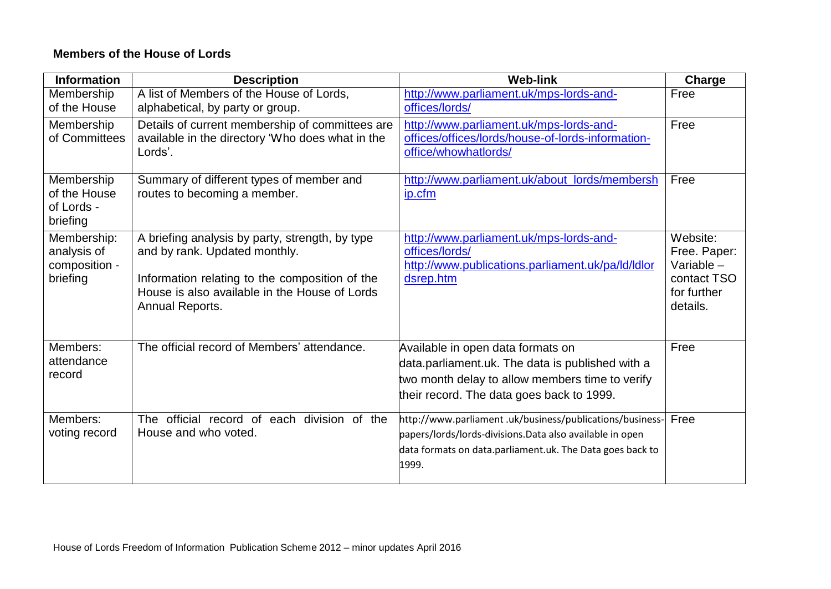## **Members of the House of Lords**

| <b>Information</b>                                      | <b>Description</b>                                                                                                                                                                                     | <b>Web-link</b>                                                                                                                                                                            | Charge                                                                           |
|---------------------------------------------------------|--------------------------------------------------------------------------------------------------------------------------------------------------------------------------------------------------------|--------------------------------------------------------------------------------------------------------------------------------------------------------------------------------------------|----------------------------------------------------------------------------------|
| Membership<br>of the House                              | A list of Members of the House of Lords,<br>alphabetical, by party or group.                                                                                                                           | http://www.parliament.uk/mps-lords-and-<br>offices/lords/                                                                                                                                  | Free                                                                             |
| Membership<br>of Committees                             | Details of current membership of committees are<br>available in the directory 'Who does what in the<br>Lords'.                                                                                         | http://www.parliament.uk/mps-lords-and-<br>offices/offices/lords/house-of-lords-information-<br>office/whowhatlords/                                                                       | Free                                                                             |
| Membership<br>of the House<br>of Lords -<br>briefing    | Summary of different types of member and<br>routes to becoming a member.                                                                                                                               | http://www.parliament.uk/about_lords/membersh<br>ip.cfm                                                                                                                                    | Free                                                                             |
| Membership:<br>analysis of<br>composition -<br>briefing | A briefing analysis by party, strength, by type<br>and by rank. Updated monthly.<br>Information relating to the composition of the<br>House is also available in the House of Lords<br>Annual Reports. | http://www.parliament.uk/mps-lords-and-<br>offices/lords/<br>http://www.publications.parliament.uk/pa/ld/ldlor<br>dsrep.htm                                                                | Website:<br>Free. Paper:<br>Variable -<br>contact TSO<br>for further<br>details. |
| Members:<br>attendance<br>record                        | The official record of Members' attendance.                                                                                                                                                            | Available in open data formats on<br>data.parliament.uk. The data is published with a<br>two month delay to allow members time to verify<br>their record. The data goes back to 1999.      | Free                                                                             |
| Members:<br>voting record                               | The official record of each division of the<br>House and who voted.                                                                                                                                    | http://www.parliament.uk/business/publications/business-<br>papers/lords/lords-divisions.Data also available in open<br>data formats on data.parliament.uk. The Data goes back to<br>1999. | Free                                                                             |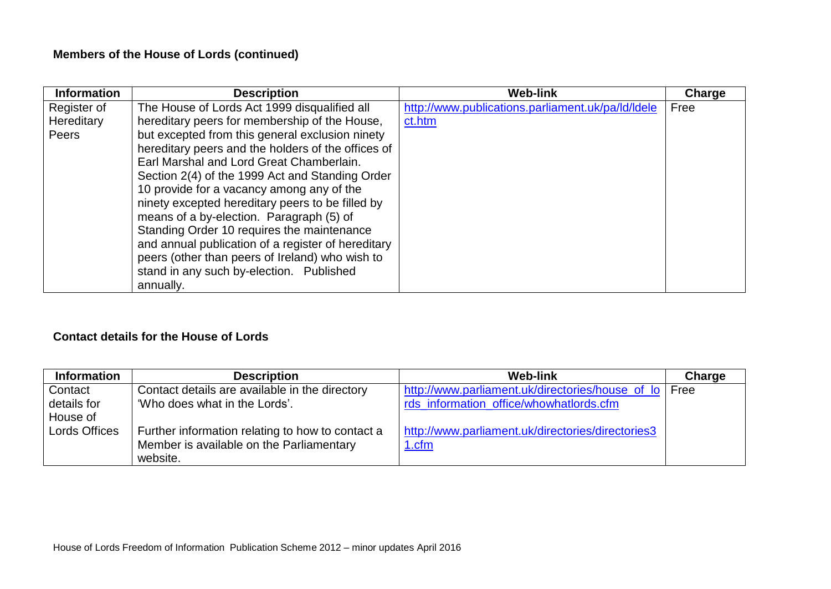# **Members of the House of Lords (continued)**

| <b>Information</b> | <b>Description</b>                                 | <b>Web-link</b>                                   | Charge |
|--------------------|----------------------------------------------------|---------------------------------------------------|--------|
| Register of        | The House of Lords Act 1999 disqualified all       | http://www.publications.parliament.uk/pa/ld/ldele | Free   |
| Hereditary         | hereditary peers for membership of the House,      | ct.htm                                            |        |
| Peers              | but excepted from this general exclusion ninety    |                                                   |        |
|                    | hereditary peers and the holders of the offices of |                                                   |        |
|                    | Earl Marshal and Lord Great Chamberlain.           |                                                   |        |
|                    | Section 2(4) of the 1999 Act and Standing Order    |                                                   |        |
|                    | 10 provide for a vacancy among any of the          |                                                   |        |
|                    | ninety excepted hereditary peers to be filled by   |                                                   |        |
|                    | means of a by-election. Paragraph (5) of           |                                                   |        |
|                    | Standing Order 10 requires the maintenance         |                                                   |        |
|                    | and annual publication of a register of hereditary |                                                   |        |
|                    | peers (other than peers of Ireland) who wish to    |                                                   |        |
|                    | stand in any such by-election. Published           |                                                   |        |
|                    | annually.                                          |                                                   |        |

## **Contact details for the House of Lords**

| <b>Information</b> | <b>Description</b>                               | <b>Web-link</b>                                   | Charge |
|--------------------|--------------------------------------------------|---------------------------------------------------|--------|
| Contact            | Contact details are available in the directory   | http://www.parliament.uk/directories/house_of_lo  | Free   |
| details for        | 'Who does what in the Lords'.                    | rds information office/whowhatlords.cfm           |        |
| House of           |                                                  |                                                   |        |
| Lords Offices      | Further information relating to how to contact a | http://www.parliament.uk/directories/directories3 |        |
|                    | Member is available on the Parliamentary         | 1.cfm                                             |        |
|                    | website.                                         |                                                   |        |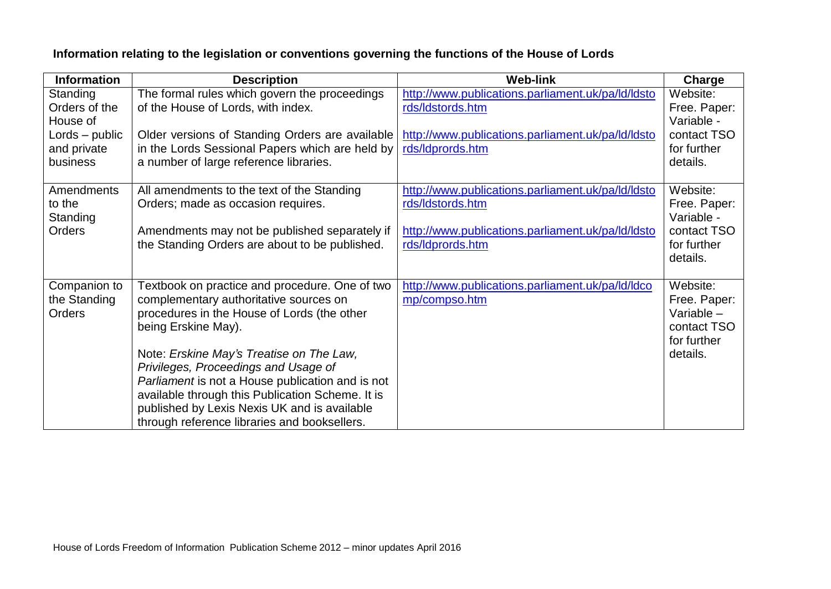# **Information relating to the legislation or conventions governing the functions of the House of Lords**

| <b>Information</b>                                | <b>Description</b>                                                                                                                                                                                                                                                                                                                                                                                                                                         | <b>Web-link</b>                                                                                                                                | Charge                                                                             |
|---------------------------------------------------|------------------------------------------------------------------------------------------------------------------------------------------------------------------------------------------------------------------------------------------------------------------------------------------------------------------------------------------------------------------------------------------------------------------------------------------------------------|------------------------------------------------------------------------------------------------------------------------------------------------|------------------------------------------------------------------------------------|
| Standing<br>Orders of the<br>House of             | The formal rules which govern the proceedings<br>of the House of Lords, with index.                                                                                                                                                                                                                                                                                                                                                                        | http://www.publications.parliament.uk/pa/ld/ldsto<br>rds/ldstords.htm                                                                          | Website:<br>Free. Paper:<br>Variable -                                             |
| $Lords - public$<br>and private<br>business       | Older versions of Standing Orders are available<br>in the Lords Sessional Papers which are held by<br>a number of large reference libraries.                                                                                                                                                                                                                                                                                                               | http://www.publications.parliament.uk/pa/ld/ldsto<br>rds/Idprords.htm                                                                          | contact TSO<br>for further<br>details.                                             |
| <b>Amendments</b><br>to the<br>Standing<br>Orders | All amendments to the text of the Standing<br>Orders; made as occasion requires.<br>Amendments may not be published separately if<br>the Standing Orders are about to be published.                                                                                                                                                                                                                                                                        | http://www.publications.parliament.uk/pa/ld/ldsto<br>rds/ldstords.htm<br>http://www.publications.parliament.uk/pa/ld/ldsto<br>rds/Idprords.htm | Website:<br>Free. Paper:<br>Variable -<br>contact TSO<br>for further<br>details.   |
| Companion to<br>the Standing<br><b>Orders</b>     | Textbook on practice and procedure. One of two<br>complementary authoritative sources on<br>procedures in the House of Lords (the other<br>being Erskine May).<br>Note: Erskine May's Treatise on The Law,<br>Privileges, Proceedings and Usage of<br>Parliament is not a House publication and is not<br>available through this Publication Scheme. It is<br>published by Lexis Nexis UK and is available<br>through reference libraries and booksellers. | http://www.publications.parliament.uk/pa/ld/ldco<br>mp/compso.htm                                                                              | Website:<br>Free. Paper:<br>Variable $-$<br>contact TSO<br>for further<br>details. |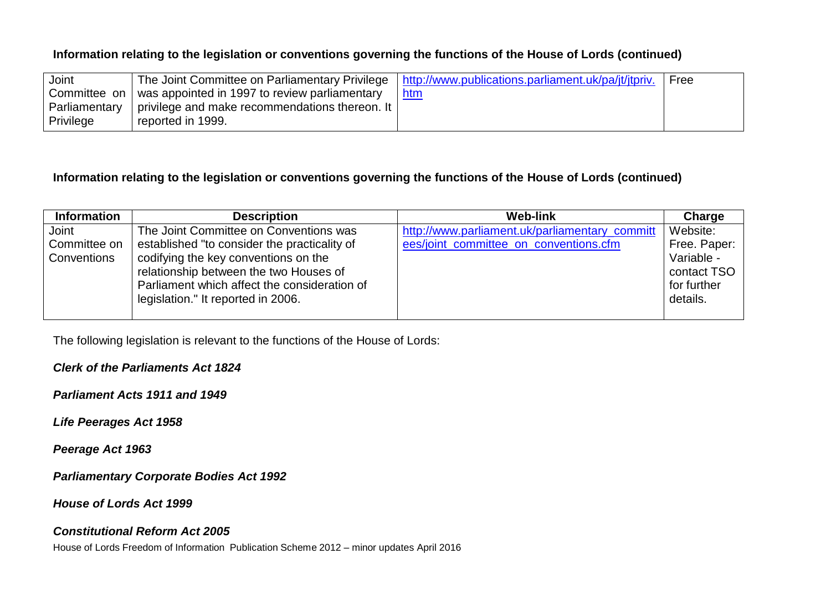## **Information relating to the legislation or conventions governing the functions of the House of Lords (continued)**

| Joint         |                                                              | The Joint Committee on Parliamentary Privilege   http://www.publications.parliament.uk/pa/jt/jtpriv. | Free |
|---------------|--------------------------------------------------------------|------------------------------------------------------------------------------------------------------|------|
|               | Committee on   was appointed in 1997 to review parliamentary | <u>htm</u>                                                                                           |      |
| Parliamentary | privilege and make recommendations thereon. It I             |                                                                                                      |      |
| Privilege     | reported in 1999.                                            |                                                                                                      |      |

#### **Information relating to the legislation or conventions governing the functions of the House of Lords (continued)**

| <b>Information</b> | <b>Description</b>                           | <b>Web-link</b>                                | Charge       |
|--------------------|----------------------------------------------|------------------------------------------------|--------------|
| Joint              | The Joint Committee on Conventions was       | http://www.parliament.uk/parliamentary_committ | Website:     |
| Committee on       | established "to consider the practicality of | ees/joint_committee_on_conventions.cfm         | Free. Paper: |
| Conventions        | codifying the key conventions on the         |                                                | Variable -   |
|                    | relationship between the two Houses of       |                                                | contact TSO  |
|                    | Parliament which affect the consideration of |                                                | for further  |
|                    | legislation." It reported in 2006.           |                                                | details.     |
|                    |                                              |                                                |              |

The following legislation is relevant to the functions of the House of Lords:

*Clerk of the Parliaments Act 1824*

*Parliament Acts 1911 and 1949*

*Life Peerages Act 1958*

*Peerage Act 1963*

*Parliamentary Corporate Bodies Act 1992*

*House of Lords Act 1999*

#### *Constitutional Reform Act 2005*

House of Lords Freedom of Information Publication Scheme 2012 – minor updates April 2016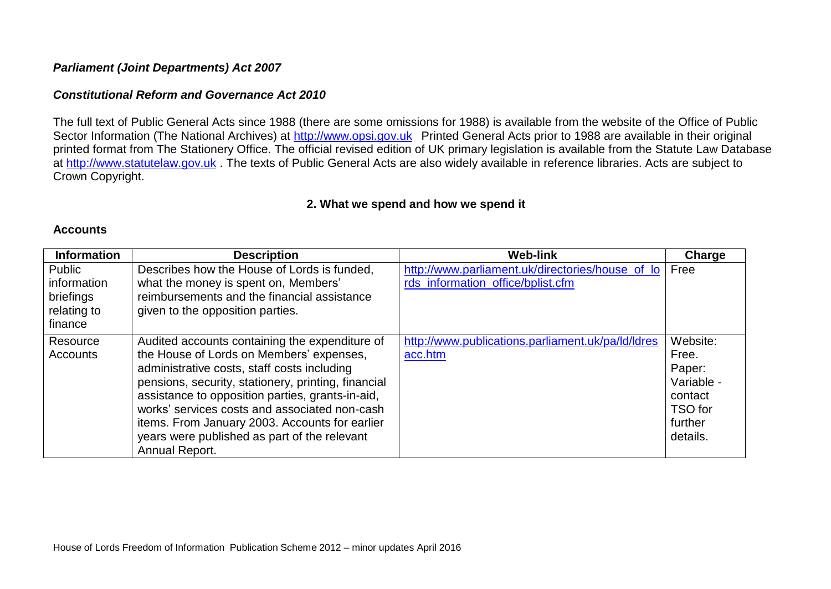#### *Parliament (Joint Departments) Act 2007*

#### *Constitutional Reform and Governance Act 2010*

The full text of Public General Acts since 1988 (there are some omissions for 1988) is available from the website of the Office of Public Sector Information (The National Archives) at [http://www.opsi.gov.uk](http://www.opsi.gov.uk/) Printed General Acts prior to 1988 are available in their original printed format from The Stationery Office. The official revised edition of UK primary legislation is available from the Statute Law Database at [http://www.statutelaw.gov.uk](http://www.statutelaw.gov.uk/) . The texts of Public General Acts are also widely available in reference libraries. Acts are subject to Crown Copyright.

#### **2. What we spend and how we spend it**

#### **Accounts**

| <b>Information</b>                                           | <b>Description</b>                                                                                                                                                                                                                                                                                                                                                                                                        | <b>Web-link</b>                                                                       | Charge                                                                                 |
|--------------------------------------------------------------|---------------------------------------------------------------------------------------------------------------------------------------------------------------------------------------------------------------------------------------------------------------------------------------------------------------------------------------------------------------------------------------------------------------------------|---------------------------------------------------------------------------------------|----------------------------------------------------------------------------------------|
| Public<br>information<br>briefings<br>relating to<br>finance | Describes how the House of Lords is funded.<br>what the money is spent on, Members'<br>reimbursements and the financial assistance<br>given to the opposition parties.                                                                                                                                                                                                                                                    | http://www.parliament.uk/directories/house_of_lo<br>rds_information_office/bplist.cfm | Free                                                                                   |
| Resource<br>Accounts                                         | Audited accounts containing the expenditure of<br>the House of Lords on Members' expenses,<br>administrative costs, staff costs including<br>pensions, security, stationery, printing, financial<br>assistance to opposition parties, grants-in-aid,<br>works' services costs and associated non-cash<br>items. From January 2003. Accounts for earlier<br>years were published as part of the relevant<br>Annual Report. | http://www.publications.parliament.uk/pa/ld/ldres<br>acc.htm                          | Website:<br>Free.<br>Paper:<br>Variable -<br>contact<br>TSO for<br>further<br>details. |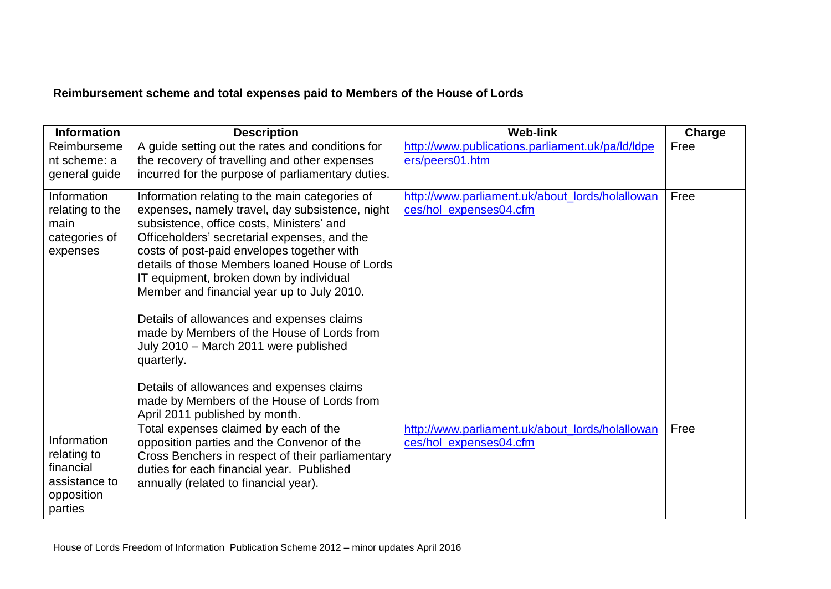# **Reimbursement scheme and total expenses paid to Members of the House of Lords**

| <b>Information</b> | <b>Description</b>                                                                           | <b>Web-link</b>                                  | Charge |
|--------------------|----------------------------------------------------------------------------------------------|--------------------------------------------------|--------|
| Reimburseme        | A guide setting out the rates and conditions for                                             | http://www.publications.parliament.uk/pa/ld/ldpe | Free   |
| nt scheme: a       | the recovery of travelling and other expenses                                                | ers/peers01.htm                                  |        |
| general guide      | incurred for the purpose of parliamentary duties.                                            |                                                  |        |
| Information        | Information relating to the main categories of                                               | http://www.parliament.uk/about_lords/holallowan  | Free   |
| relating to the    | expenses, namely travel, day subsistence, night                                              | ces/hol_expenses04.cfm                           |        |
| main               | subsistence, office costs, Ministers' and                                                    |                                                  |        |
| categories of      | Officeholders' secretarial expenses, and the                                                 |                                                  |        |
| expenses           | costs of post-paid envelopes together with<br>details of those Members loaned House of Lords |                                                  |        |
|                    | IT equipment, broken down by individual                                                      |                                                  |        |
|                    | Member and financial year up to July 2010.                                                   |                                                  |        |
|                    |                                                                                              |                                                  |        |
|                    | Details of allowances and expenses claims                                                    |                                                  |        |
|                    | made by Members of the House of Lords from                                                   |                                                  |        |
|                    | July 2010 - March 2011 were published                                                        |                                                  |        |
|                    | quarterly.                                                                                   |                                                  |        |
|                    |                                                                                              |                                                  |        |
|                    | Details of allowances and expenses claims<br>made by Members of the House of Lords from      |                                                  |        |
|                    | April 2011 published by month.                                                               |                                                  |        |
|                    | Total expenses claimed by each of the                                                        | http://www.parliament.uk/about_lords/holallowan  | Free   |
| Information        | opposition parties and the Convenor of the                                                   | ces/hol_expenses04.cfm                           |        |
| relating to        | Cross Benchers in respect of their parliamentary                                             |                                                  |        |
| financial          | duties for each financial year. Published                                                    |                                                  |        |
| assistance to      | annually (related to financial year).                                                        |                                                  |        |
| opposition         |                                                                                              |                                                  |        |
| parties            |                                                                                              |                                                  |        |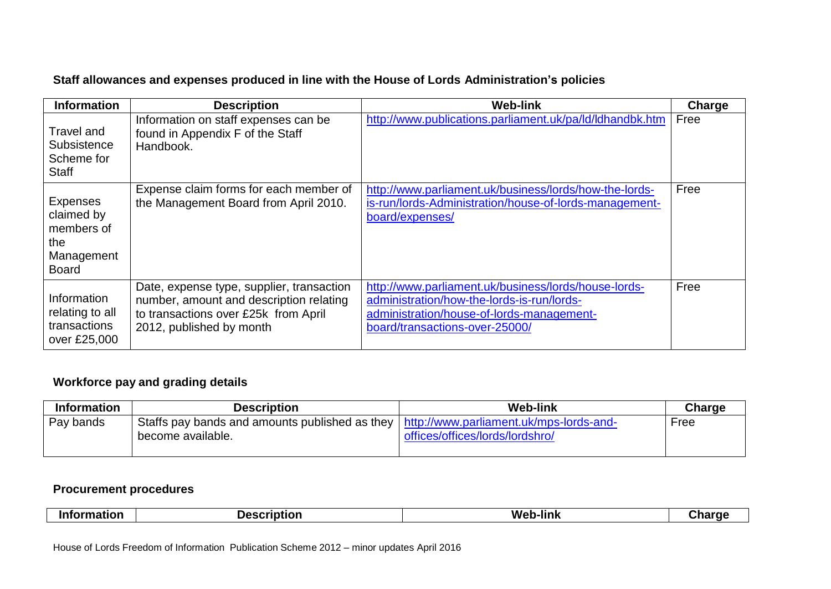## **Staff allowances and expenses produced in line with the House of Lords Administration's policies**

| <b>Information</b>                                                               | <b>Description</b>                                                                                                                                       | <b>Web-link</b>                                                                                                                                                                   | Charge |
|----------------------------------------------------------------------------------|----------------------------------------------------------------------------------------------------------------------------------------------------------|-----------------------------------------------------------------------------------------------------------------------------------------------------------------------------------|--------|
| <b>Travel and</b><br>Subsistence<br>Scheme for<br><b>Staff</b>                   | Information on staff expenses can be<br>found in Appendix F of the Staff<br>Handbook.                                                                    | http://www.publications.parliament.uk/pa/ld/ldhandbk.htm                                                                                                                          | Free   |
| <b>Expenses</b><br>claimed by<br>members of<br>the<br>Management<br><b>Board</b> | Expense claim forms for each member of<br>the Management Board from April 2010.                                                                          | http://www.parliament.uk/business/lords/how-the-lords-<br>is-run/lords-Administration/house-of-lords-management-<br>board/expenses/                                               | Free   |
| Information<br>relating to all<br>transactions<br>over £25,000                   | Date, expense type, supplier, transaction<br>number, amount and description relating<br>to transactions over £25k from April<br>2012, published by month | http://www.parliament.uk/business/lords/house-lords-<br>administration/how-the-lords-is-run/lords-<br>administration/house-of-lords-management-<br>board/transactions-over-25000/ | Free   |

## **Workforce pay and grading details**

| <b>Information</b> | <b>Description</b>                                                                       | <b>Web-link</b>                 | <b>Charge</b> |
|--------------------|------------------------------------------------------------------------------------------|---------------------------------|---------------|
| Pay bands          | Staffs pay bands and amounts published as they   http://www.parliament.uk/mps-lords-and- |                                 | Free          |
|                    | become available.                                                                        | offices/offices/lords/lordshro/ |               |
|                    |                                                                                          |                                 |               |

### **Procurement procedures**

|  | ۱n۱<br>- ----<br>. | - -<br>_ | - -<br>. IIM L<br>WΑ<br> |  |
|--|--------------------|----------|--------------------------|--|
|--|--------------------|----------|--------------------------|--|

House of Lords Freedom of Information Publication Scheme 2012 – minor updates April 2016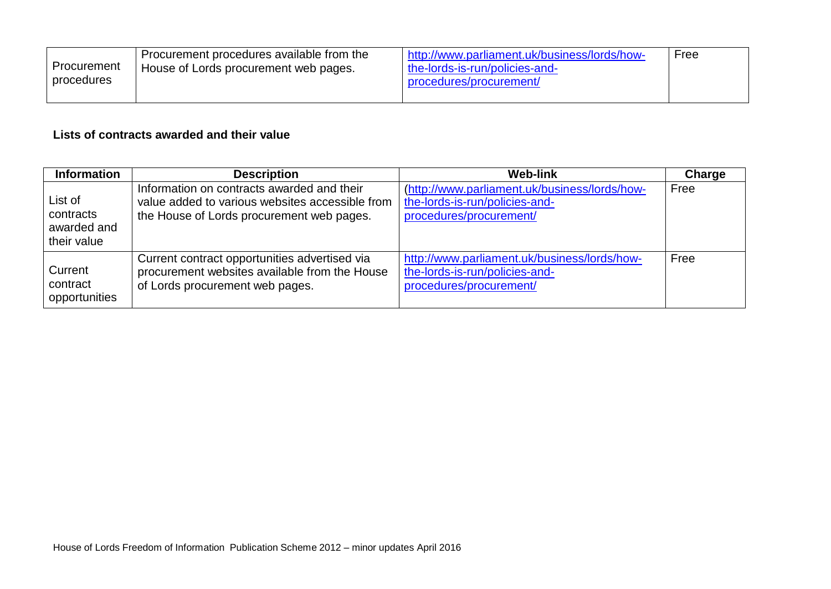| Procurement<br>procedures | Procurement procedures available from the<br>House of Lords procurement web pages. | http://www.parliament.uk/business/lords/how-<br>the-lords-is-run/policies-and-<br>procedures/procurement/ | Free |
|---------------------------|------------------------------------------------------------------------------------|-----------------------------------------------------------------------------------------------------------|------|
|---------------------------|------------------------------------------------------------------------------------|-----------------------------------------------------------------------------------------------------------|------|

## **Lists of contracts awarded and their value**

| <b>Information</b>                                 | <b>Description</b>                                                                                                                         | <b>Web-link</b>                                                                                            | Charge |
|----------------------------------------------------|--------------------------------------------------------------------------------------------------------------------------------------------|------------------------------------------------------------------------------------------------------------|--------|
| List of<br>contracts<br>awarded and<br>their value | Information on contracts awarded and their<br>value added to various websites accessible from<br>the House of Lords procurement web pages. | (http://www.parliament.uk/business/lords/how-<br>the-lords-is-run/policies-and-<br>procedures/procurement/ | Free   |
| Current<br>contract<br>opportunities               | Current contract opportunities advertised via<br>procurement websites available from the House<br>of Lords procurement web pages.          | http://www.parliament.uk/business/lords/how-<br>the-lords-is-run/policies-and-<br>procedures/procurement/  | Free   |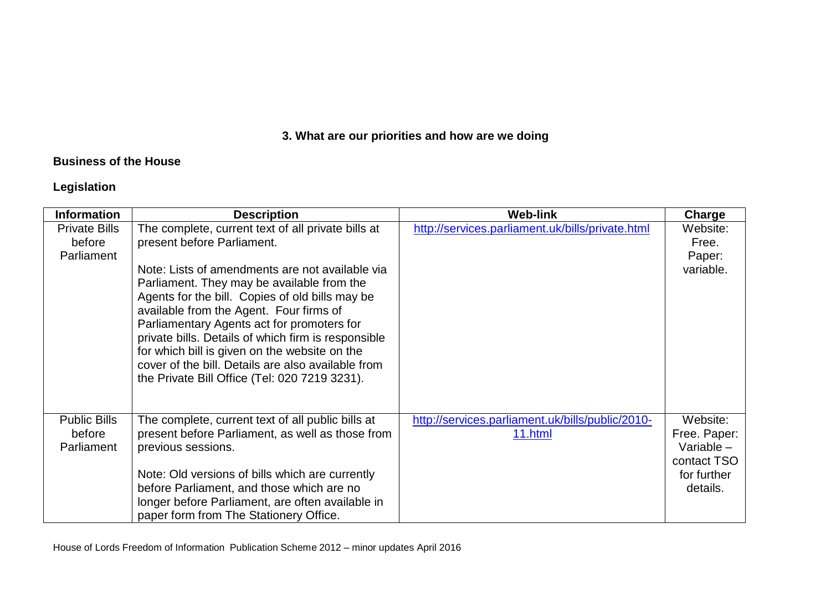# **3. What are our priorities and how are we doing**

## **Business of the House**

# **Legislation**

| <b>Information</b>                           | <b>Description</b>                                                                                                                                                                                                                                                                                                                                                                                                                                                                                                                           | <b>Web-link</b>                                             | Charge                                                                             |
|----------------------------------------------|----------------------------------------------------------------------------------------------------------------------------------------------------------------------------------------------------------------------------------------------------------------------------------------------------------------------------------------------------------------------------------------------------------------------------------------------------------------------------------------------------------------------------------------------|-------------------------------------------------------------|------------------------------------------------------------------------------------|
| <b>Private Bills</b><br>before<br>Parliament | The complete, current text of all private bills at<br>present before Parliament.<br>Note: Lists of amendments are not available via<br>Parliament. They may be available from the<br>Agents for the bill. Copies of old bills may be<br>available from the Agent. Four firms of<br>Parliamentary Agents act for promoters for<br>private bills. Details of which firm is responsible<br>for which bill is given on the website on the<br>cover of the bill. Details are also available from<br>the Private Bill Office (Tel: 020 7219 3231). | http://services.parliament.uk/bills/private.html            | Website:<br>Free.<br>Paper:<br>variable.                                           |
| <b>Public Bills</b><br>before<br>Parliament  | The complete, current text of all public bills at<br>present before Parliament, as well as those from<br>previous sessions.<br>Note: Old versions of bills which are currently<br>before Parliament, and those which are no<br>longer before Parliament, are often available in<br>paper form from The Stationery Office.                                                                                                                                                                                                                    | http://services.parliament.uk/bills/public/2010-<br>11.html | Website:<br>Free. Paper:<br>Variable $-$<br>contact TSO<br>for further<br>details. |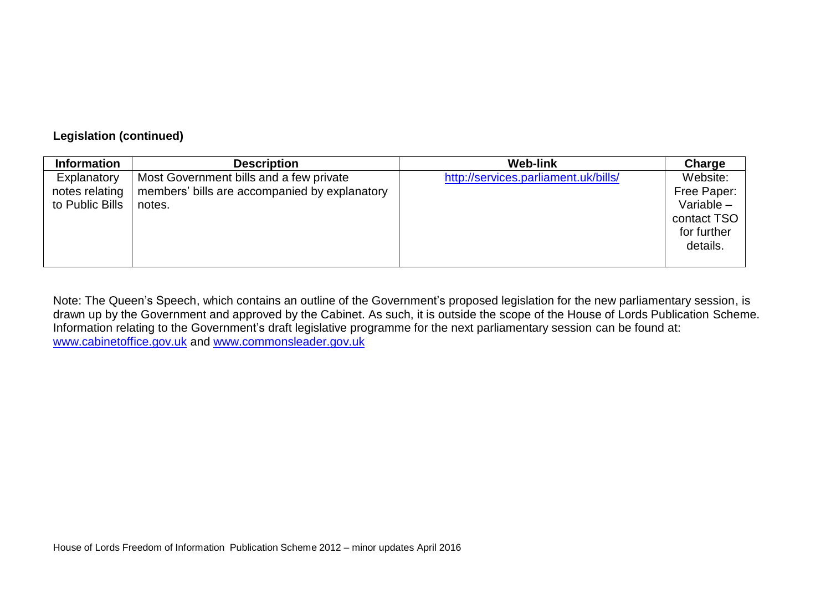### **Legislation (continued)**

| <b>Information</b>                               | <b>Description</b>                                                                                 | <b>Web-link</b>                      | Charge                                                                            |
|--------------------------------------------------|----------------------------------------------------------------------------------------------------|--------------------------------------|-----------------------------------------------------------------------------------|
| Explanatory<br>notes relating<br>to Public Bills | Most Government bills and a few private<br>members' bills are accompanied by explanatory<br>notes. | http://services.parliament.uk/bills/ | Website:<br>Free Paper:<br>Variable $-$<br>contact TSO<br>for further<br>details. |

Note: The Queen's Speech, which contains an outline of the Government's proposed legislation for the new parliamentary session, is drawn up by the Government and approved by the Cabinet. As such, it is outside the scope of the House of Lords Publication Scheme. Information relating to the Government's draft legislative programme for the next parliamentary session can be found at: [www.cabinetoffice.gov.uk](http://www.cabinetoffice.gov.uk/) and [www.commonsleader.gov.uk](http://www.commonsleader.gov.uk/)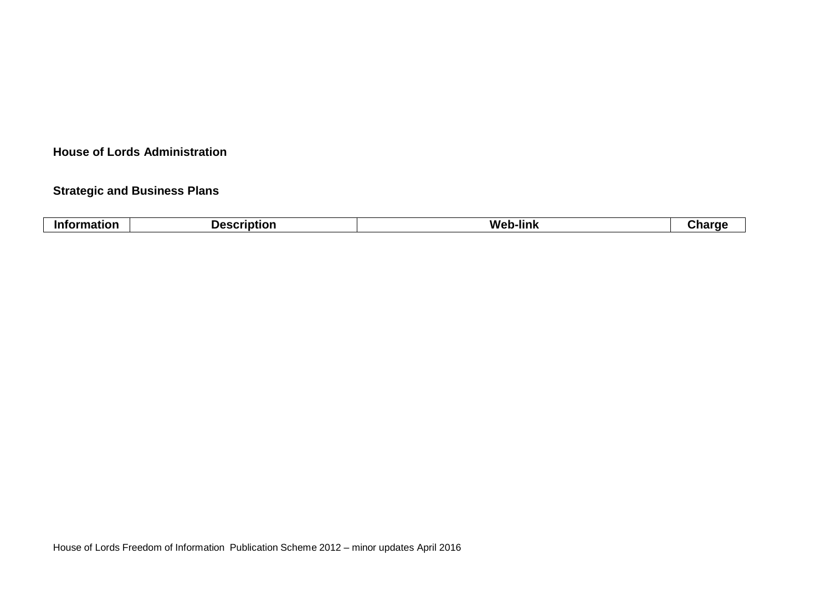#### **House of Lords Administration**

## **Strategic and Business Plans**

| <b>Information</b> | <b>Description</b> | <b>Web-link</b> | .noro<br>--- |
|--------------------|--------------------|-----------------|--------------|
|                    |                    |                 |              |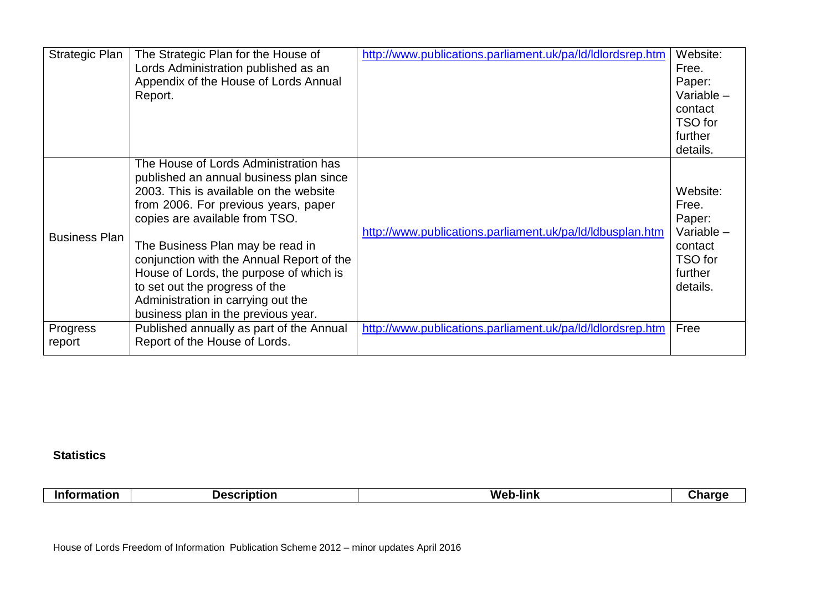| Strategic Plan       | The Strategic Plan for the House of<br>Lords Administration published as an       | http://www.publications.parliament.uk/pa/ld/ldlordsrep.htm | Website:<br>Free. |
|----------------------|-----------------------------------------------------------------------------------|------------------------------------------------------------|-------------------|
|                      | Appendix of the House of Lords Annual                                             |                                                            | Paper:            |
|                      | Report.                                                                           |                                                            | Variable $-$      |
|                      |                                                                                   |                                                            | contact           |
|                      |                                                                                   |                                                            | TSO for           |
|                      |                                                                                   |                                                            | further           |
|                      |                                                                                   |                                                            | details.          |
|                      | The House of Lords Administration has                                             |                                                            |                   |
|                      | published an annual business plan since<br>2003. This is available on the website |                                                            |                   |
|                      |                                                                                   |                                                            | Website:<br>Free. |
|                      | from 2006. For previous years, paper<br>copies are available from TSO.            |                                                            | Paper:            |
|                      |                                                                                   | http://www.publications.parliament.uk/pa/ld/ldbusplan.htm  | Variable -        |
| <b>Business Plan</b> | The Business Plan may be read in                                                  |                                                            | contact           |
|                      | conjunction with the Annual Report of the                                         |                                                            | TSO for           |
|                      | House of Lords, the purpose of which is                                           |                                                            | further           |
|                      | to set out the progress of the                                                    |                                                            | details.          |
|                      | Administration in carrying out the                                                |                                                            |                   |
|                      | business plan in the previous year.                                               |                                                            |                   |
| Progress             | Published annually as part of the Annual                                          | http://www.publications.parliament.uk/pa/ld/ldlordsrep.htm | Free              |
| report               | Report of the House of Lords.                                                     |                                                            |                   |

## **Statistics**

 $\overline{1}$ 

| . . | $\sqrt{ }$ | - -<br>W.<br>-link |  |
|-----|------------|--------------------|--|
|-----|------------|--------------------|--|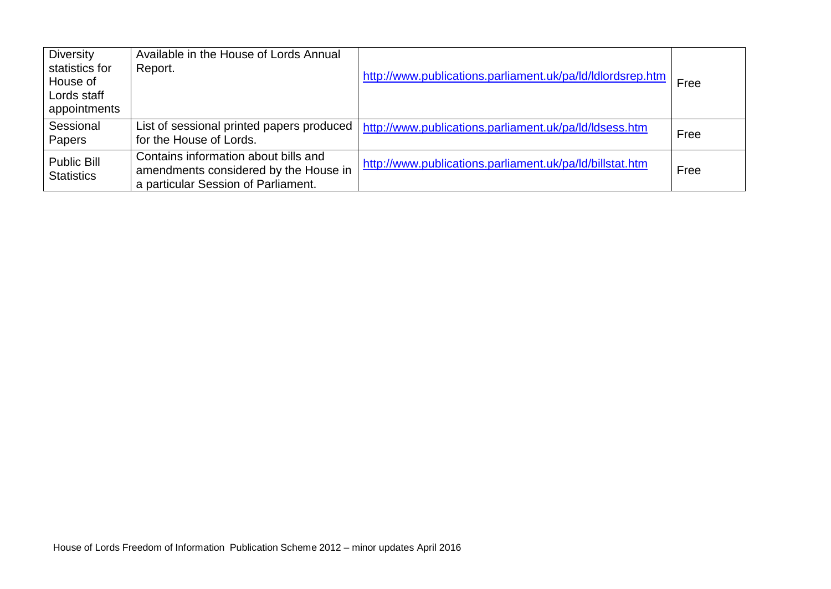| <b>Diversity</b><br>statistics for<br>House of<br>Lords staff<br>appointments | Available in the House of Lords Annual<br>Report.                                                                    | http://www.publications.parliament.uk/pa/ld/ldlordsrep.htm | Free |
|-------------------------------------------------------------------------------|----------------------------------------------------------------------------------------------------------------------|------------------------------------------------------------|------|
| Sessional<br>Papers                                                           | List of sessional printed papers produced<br>for the House of Lords.                                                 | http://www.publications.parliament.uk/pa/ld/ldsess.htm     | Free |
| Public Bill<br><b>Statistics</b>                                              | Contains information about bills and<br>amendments considered by the House in<br>a particular Session of Parliament. | http://www.publications.parliament.uk/pa/ld/billstat.htm   | Free |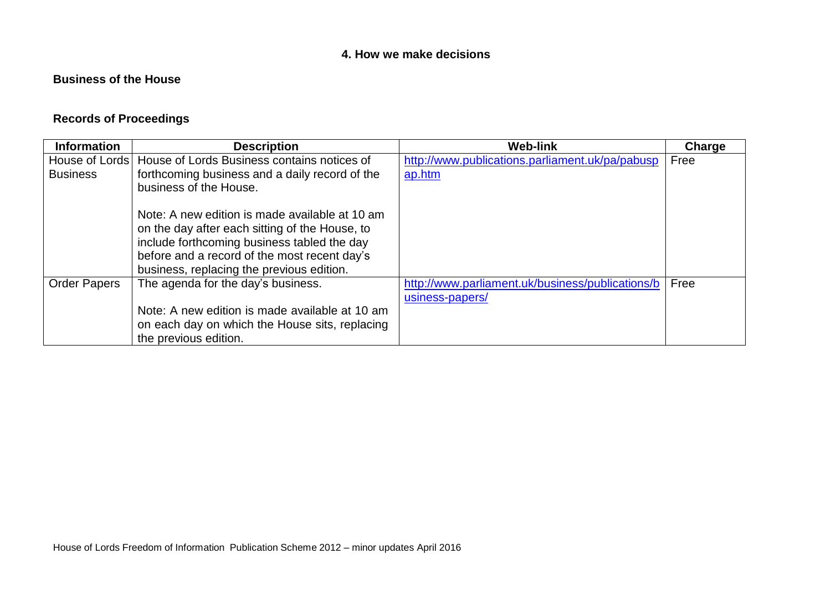## **4. How we make decisions**

## **Business of the House**

## **Records of Proceedings**

| <b>Information</b>  | <b>Description</b>                                           | <b>Web-link</b>                                  | Charge |
|---------------------|--------------------------------------------------------------|--------------------------------------------------|--------|
|                     | House of Lords   House of Lords Business contains notices of | http://www.publications.parliament.uk/pa/pabusp  | Free   |
| <b>Business</b>     | forthcoming business and a daily record of the               | ap.htm                                           |        |
|                     | business of the House.                                       |                                                  |        |
|                     |                                                              |                                                  |        |
|                     | Note: A new edition is made available at 10 am               |                                                  |        |
|                     | on the day after each sitting of the House, to               |                                                  |        |
|                     | include forthcoming business tabled the day                  |                                                  |        |
|                     | before and a record of the most recent day's                 |                                                  |        |
|                     | business, replacing the previous edition.                    |                                                  |        |
| <b>Order Papers</b> | The agenda for the day's business.                           | http://www.parliament.uk/business/publications/b | Free   |
|                     |                                                              | usiness-papers/                                  |        |
|                     | Note: A new edition is made available at 10 am               |                                                  |        |
|                     | on each day on which the House sits, replacing               |                                                  |        |
|                     | the previous edition.                                        |                                                  |        |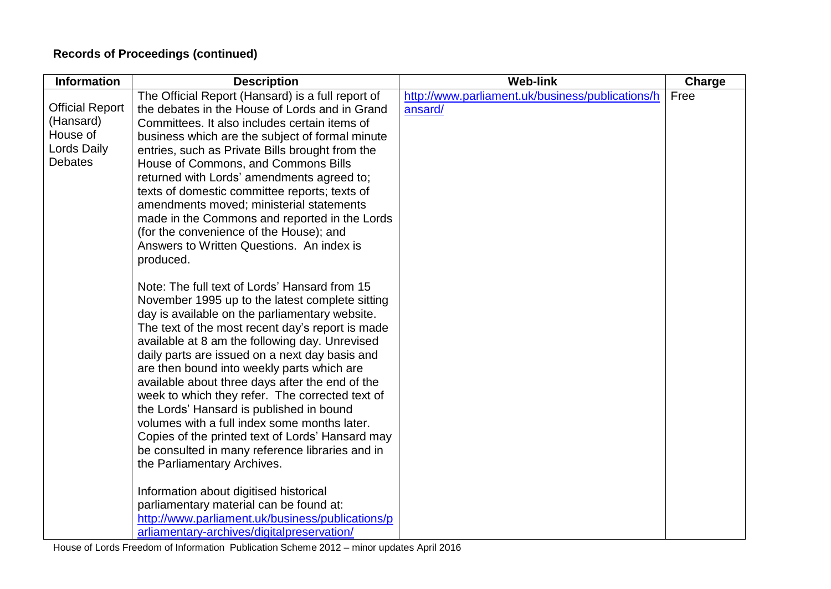# **Records of Proceedings (continued)**

| <b>Information</b>                                                               | <b>Description</b>                                                                                                                                                                                                                                                                                                                                                                                                                                                                                                                                                                                                                                                                                                                                                                                 | <b>Web-link</b>                                             | Charge |
|----------------------------------------------------------------------------------|----------------------------------------------------------------------------------------------------------------------------------------------------------------------------------------------------------------------------------------------------------------------------------------------------------------------------------------------------------------------------------------------------------------------------------------------------------------------------------------------------------------------------------------------------------------------------------------------------------------------------------------------------------------------------------------------------------------------------------------------------------------------------------------------------|-------------------------------------------------------------|--------|
| <b>Official Report</b><br>(Hansard)<br>House of<br>Lords Daily<br><b>Debates</b> | The Official Report (Hansard) is a full report of<br>the debates in the House of Lords and in Grand<br>Committees. It also includes certain items of<br>business which are the subject of formal minute<br>entries, such as Private Bills brought from the<br>House of Commons, and Commons Bills<br>returned with Lords' amendments agreed to;<br>texts of domestic committee reports; texts of<br>amendments moved; ministerial statements<br>made in the Commons and reported in the Lords<br>(for the convenience of the House); and<br>Answers to Written Questions. An index is                                                                                                                                                                                                              | http://www.parliament.uk/business/publications/h<br>ansard/ | Free   |
|                                                                                  | produced.<br>Note: The full text of Lords' Hansard from 15<br>November 1995 up to the latest complete sitting<br>day is available on the parliamentary website.<br>The text of the most recent day's report is made<br>available at 8 am the following day. Unrevised<br>daily parts are issued on a next day basis and<br>are then bound into weekly parts which are<br>available about three days after the end of the<br>week to which they refer. The corrected text of<br>the Lords' Hansard is published in bound<br>volumes with a full index some months later.<br>Copies of the printed text of Lords' Hansard may<br>be consulted in many reference libraries and in<br>the Parliamentary Archives.<br>Information about digitised historical<br>parliamentary material can be found at: |                                                             |        |
|                                                                                  | http://www.parliament.uk/business/publications/p<br>arliamentary-archives/digitalpreservation/                                                                                                                                                                                                                                                                                                                                                                                                                                                                                                                                                                                                                                                                                                     |                                                             |        |

House of Lords Freedom of Information Publication Scheme 2012 – minor updates April 2016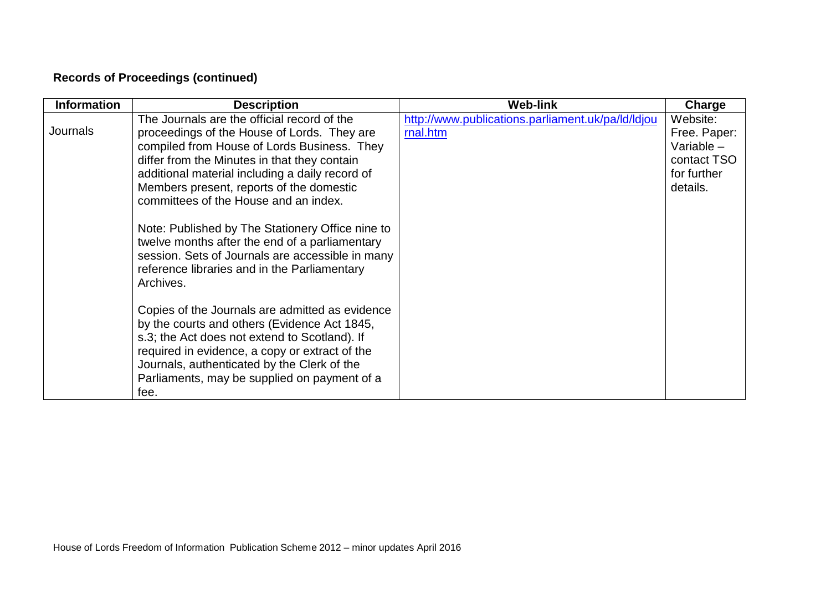# **Records of Proceedings (continued)**

| <b>Information</b> | <b>Description</b>                                                                                                                                                                                                                                                                                                                                                                                                                                                                                                                                       | <b>Web-link</b>                                               | Charge                                                                             |
|--------------------|----------------------------------------------------------------------------------------------------------------------------------------------------------------------------------------------------------------------------------------------------------------------------------------------------------------------------------------------------------------------------------------------------------------------------------------------------------------------------------------------------------------------------------------------------------|---------------------------------------------------------------|------------------------------------------------------------------------------------|
| Journals           | The Journals are the official record of the<br>proceedings of the House of Lords. They are<br>compiled from House of Lords Business. They<br>differ from the Minutes in that they contain<br>additional material including a daily record of<br>Members present, reports of the domestic<br>committees of the House and an index.<br>Note: Published by The Stationery Office nine to<br>twelve months after the end of a parliamentary<br>session. Sets of Journals are accessible in many<br>reference libraries and in the Parliamentary<br>Archives. | http://www.publications.parliament.uk/pa/ld/ldjou<br>rnal.htm | Website:<br>Free. Paper:<br>Variable $-$<br>contact TSO<br>for further<br>details. |
|                    | Copies of the Journals are admitted as evidence<br>by the courts and others (Evidence Act 1845,<br>s.3; the Act does not extend to Scotland). If<br>required in evidence, a copy or extract of the<br>Journals, authenticated by the Clerk of the<br>Parliaments, may be supplied on payment of a<br>fee.                                                                                                                                                                                                                                                |                                                               |                                                                                    |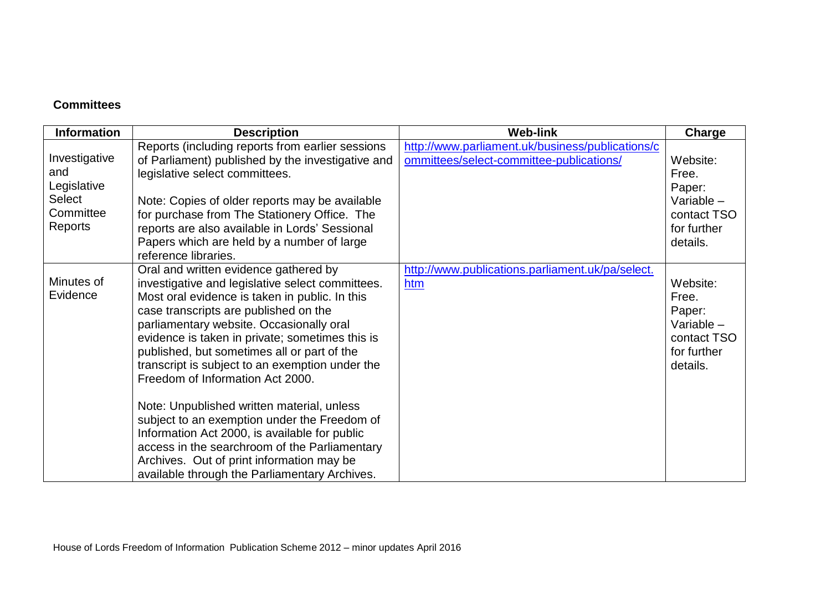## **Committees**

| <b>Information</b>                                                           | <b>Description</b>                                                                                                                                                                                                                                                                                                                                                                                                                                                                                                                                                                                                                                                                                                      | <b>Web-link</b>                                                                              | Charge                                                                                |
|------------------------------------------------------------------------------|-------------------------------------------------------------------------------------------------------------------------------------------------------------------------------------------------------------------------------------------------------------------------------------------------------------------------------------------------------------------------------------------------------------------------------------------------------------------------------------------------------------------------------------------------------------------------------------------------------------------------------------------------------------------------------------------------------------------------|----------------------------------------------------------------------------------------------|---------------------------------------------------------------------------------------|
| Investigative<br>and<br>Legislative<br><b>Select</b><br>Committee<br>Reports | Reports (including reports from earlier sessions<br>of Parliament) published by the investigative and<br>legislative select committees.<br>Note: Copies of older reports may be available<br>for purchase from The Stationery Office. The<br>reports are also available in Lords' Sessional<br>Papers which are held by a number of large<br>reference libraries.                                                                                                                                                                                                                                                                                                                                                       | http://www.parliament.uk/business/publications/c<br>ommittees/select-committee-publications/ | Website:<br>Free.<br>Paper:<br>Variable $-$<br>contact TSO<br>for further<br>details. |
| Minutes of<br>Evidence                                                       | Oral and written evidence gathered by<br>investigative and legislative select committees.<br>Most oral evidence is taken in public. In this<br>case transcripts are published on the<br>parliamentary website. Occasionally oral<br>evidence is taken in private; sometimes this is<br>published, but sometimes all or part of the<br>transcript is subject to an exemption under the<br>Freedom of Information Act 2000.<br>Note: Unpublished written material, unless<br>subject to an exemption under the Freedom of<br>Information Act 2000, is available for public<br>access in the searchroom of the Parliamentary<br>Archives. Out of print information may be<br>available through the Parliamentary Archives. | http://www.publications.parliament.uk/pa/select.<br>htm                                      | Website:<br>Free.<br>Paper:<br>Variable -<br>contact TSO<br>for further<br>details.   |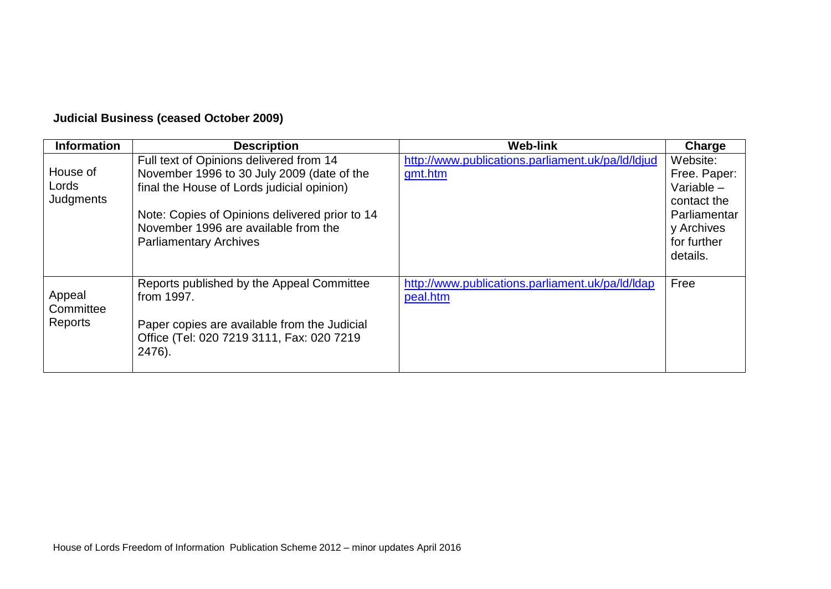# **Judicial Business (ceased October 2009)**

| <b>Information</b>             | <b>Description</b>                                                                                                                                                                                                                                             | <b>Web-link</b>                                              | Charge                                                                                                           |
|--------------------------------|----------------------------------------------------------------------------------------------------------------------------------------------------------------------------------------------------------------------------------------------------------------|--------------------------------------------------------------|------------------------------------------------------------------------------------------------------------------|
| House of<br>Lords<br>Judgments | Full text of Opinions delivered from 14<br>November 1996 to 30 July 2009 (date of the<br>final the House of Lords judicial opinion)<br>Note: Copies of Opinions delivered prior to 14<br>November 1996 are available from the<br><b>Parliamentary Archives</b> | http://www.publications.parliament.uk/pa/ld/ldjud<br>gmt.htm | Website:<br>Free. Paper:<br>Variable $-$<br>contact the<br>Parliamentar<br>y Archives<br>for further<br>details. |
| Appeal<br>Committee<br>Reports | Reports published by the Appeal Committee<br>from 1997.<br>Paper copies are available from the Judicial<br>Office (Tel: 020 7219 3111, Fax: 020 7219<br>2476).                                                                                                 | http://www.publications.parliament.uk/pa/ld/ldap<br>peal.htm | Free                                                                                                             |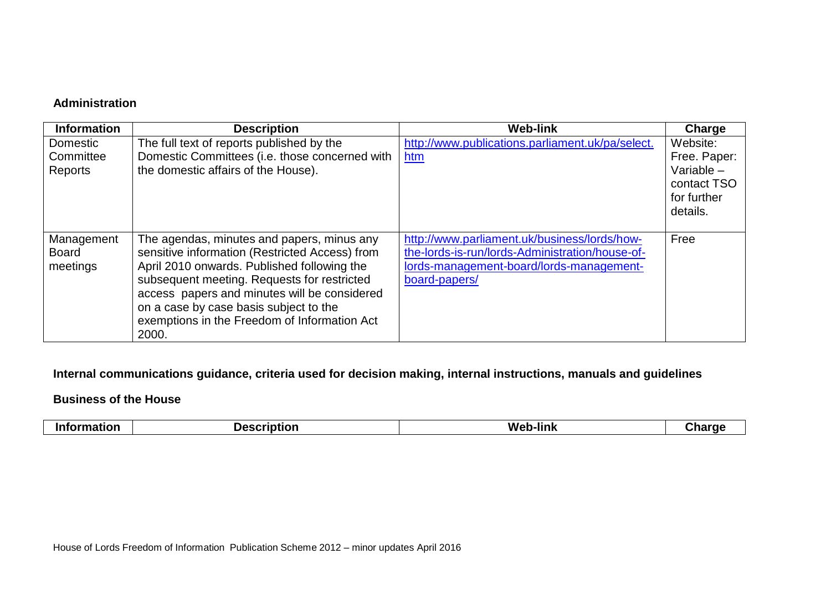## **Administration**

| <b>Information</b>                     | <b>Description</b>                                                                                                                                                                                                                                                                                                                            | <b>Web-link</b>                                                                                                                                              | Charge                                                                             |
|----------------------------------------|-----------------------------------------------------------------------------------------------------------------------------------------------------------------------------------------------------------------------------------------------------------------------------------------------------------------------------------------------|--------------------------------------------------------------------------------------------------------------------------------------------------------------|------------------------------------------------------------------------------------|
| Domestic<br>Committee<br>Reports       | The full text of reports published by the<br>Domestic Committees (i.e. those concerned with<br>the domestic affairs of the House).                                                                                                                                                                                                            | http://www.publications.parliament.uk/pa/select.<br>htm                                                                                                      | Website:<br>Free. Paper:<br>Variable $-$<br>contact TSO<br>for further<br>details. |
| Management<br><b>Board</b><br>meetings | The agendas, minutes and papers, minus any<br>sensitive information (Restricted Access) from<br>April 2010 onwards. Published following the<br>subsequent meeting. Requests for restricted<br>access papers and minutes will be considered<br>on a case by case basis subject to the<br>exemptions in the Freedom of Information Act<br>2000. | http://www.parliament.uk/business/lords/how-<br>the-lords-is-run/lords-Administration/house-of-<br>lords-management-board/lords-management-<br>board-papers/ | Free                                                                               |

## **Internal communications guidance, criteria used for decision making, internal instructions, manuals and guidelines**

#### **Business of the House**

| <b>Int</b><br>-lınk<br>-----<br>---<br>We<br>æ<br>- |  |
|-----------------------------------------------------|--|
|-----------------------------------------------------|--|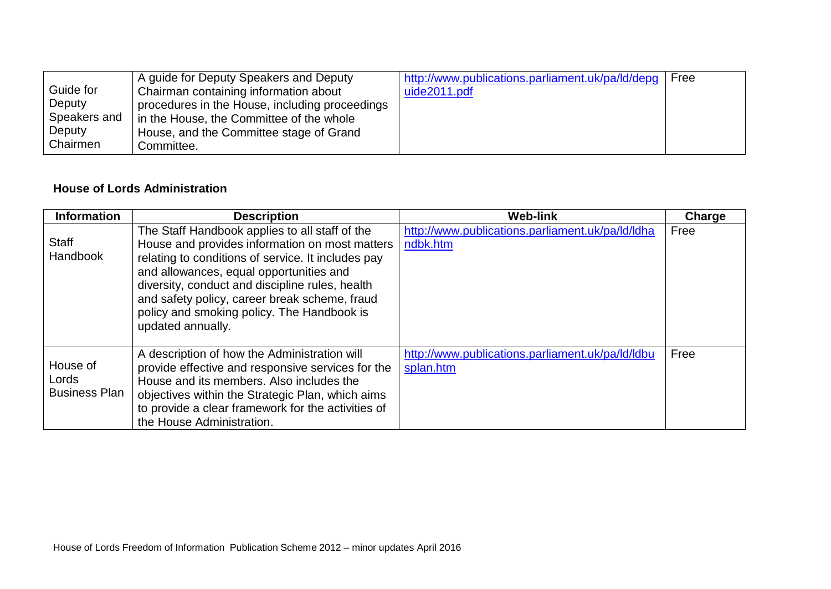|              | A guide for Deputy Speakers and Deputy         | http://www.publications.parliament.uk/pa/ld/depq | Free |
|--------------|------------------------------------------------|--------------------------------------------------|------|
| Guide for    | Chairman containing information about          | uide2011.pdf                                     |      |
| Deputy       | procedures in the House, including proceedings |                                                  |      |
| Speakers and | in the House, the Committee of the whole       |                                                  |      |
| Deputy       | House, and the Committee stage of Grand        |                                                  |      |
| Chairmen     | Committee.                                     |                                                  |      |

## **House of Lords Administration**

| <b>Information</b>                        | <b>Description</b>                                                                                                                                                                                                                                                                                                                                                       | <b>Web-link</b>                                               | Charge |
|-------------------------------------------|--------------------------------------------------------------------------------------------------------------------------------------------------------------------------------------------------------------------------------------------------------------------------------------------------------------------------------------------------------------------------|---------------------------------------------------------------|--------|
| <b>Staff</b><br>Handbook                  | The Staff Handbook applies to all staff of the<br>House and provides information on most matters<br>relating to conditions of service. It includes pay<br>and allowances, equal opportunities and<br>diversity, conduct and discipline rules, health<br>and safety policy, career break scheme, fraud<br>policy and smoking policy. The Handbook is<br>updated annually. | http://www.publications.parliament.uk/pa/ld/ldha<br>ndbk.htm  | Free   |
| House of<br>Lords<br><b>Business Plan</b> | A description of how the Administration will<br>provide effective and responsive services for the<br>House and its members. Also includes the<br>objectives within the Strategic Plan, which aims<br>to provide a clear framework for the activities of<br>the House Administration.                                                                                     | http://www.publications.parliament.uk/pa/ld/ldbu<br>splan.htm | Free   |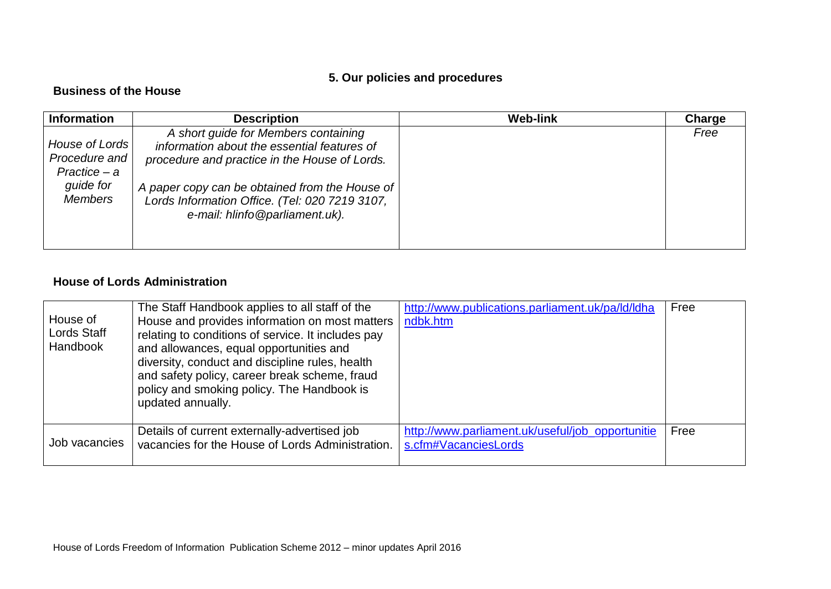# **5. Our policies and procedures**

## **Business of the House**

| <b>Information</b>                                                  | <b>Description</b>                                                                                                                                                                     | <b>Web-link</b> | Charge |
|---------------------------------------------------------------------|----------------------------------------------------------------------------------------------------------------------------------------------------------------------------------------|-----------------|--------|
| House of Lords<br>Procedure and<br>Practice – a<br><i>guide for</i> | A short guide for Members containing<br>information about the essential features of<br>procedure and practice in the House of Lords.<br>A paper copy can be obtained from the House of |                 | Free   |
| <b>Members</b>                                                      | Lords Information Office. (Tel: 020 7219 3107,<br>e-mail: hlinfo@parliament.uk).                                                                                                       |                 |        |

## **House of Lords Administration**

| House of<br>Lords Staff<br><b>Handbook</b> | The Staff Handbook applies to all staff of the<br>House and provides information on most matters<br>relating to conditions of service. It includes pay<br>and allowances, equal opportunities and<br>diversity, conduct and discipline rules, health<br>and safety policy, career break scheme, fraud<br>policy and smoking policy. The Handbook is<br>updated annually. | http://www.publications.parliament.uk/pa/ld/ldha<br>ndbk.htm             | Free |
|--------------------------------------------|--------------------------------------------------------------------------------------------------------------------------------------------------------------------------------------------------------------------------------------------------------------------------------------------------------------------------------------------------------------------------|--------------------------------------------------------------------------|------|
| Job vacancies                              | Details of current externally-advertised job<br>vacancies for the House of Lords Administration.                                                                                                                                                                                                                                                                         | http://www.parliament.uk/useful/job_opportunitie<br>s.cfm#VacanciesLords | Free |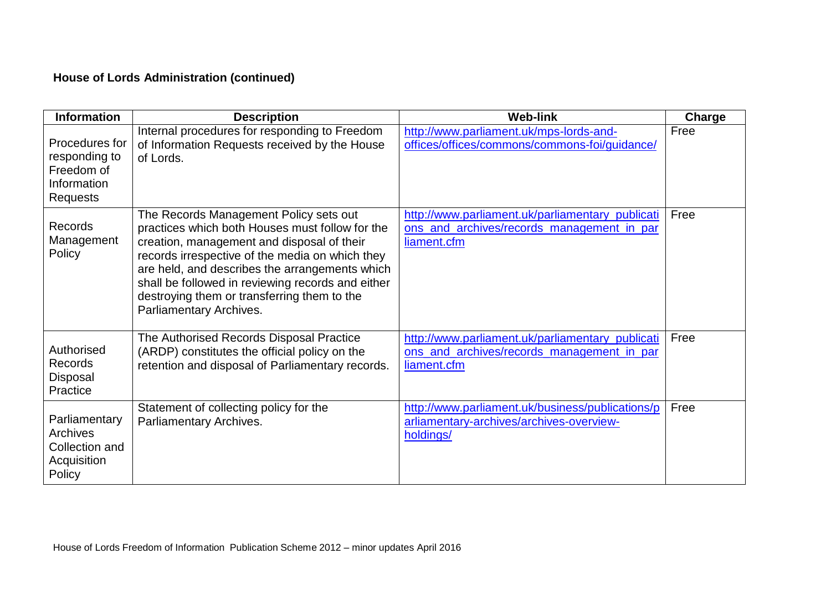# **House of Lords Administration (continued)**

| <b>Information</b>                                                              | <b>Description</b>                                                                                                                                                                                                                                                                                                                                                          | <b>Web-link</b>                                                                                               | Charge |
|---------------------------------------------------------------------------------|-----------------------------------------------------------------------------------------------------------------------------------------------------------------------------------------------------------------------------------------------------------------------------------------------------------------------------------------------------------------------------|---------------------------------------------------------------------------------------------------------------|--------|
| Procedures for<br>responding to<br>Freedom of<br>Information<br><b>Requests</b> | Internal procedures for responding to Freedom<br>of Information Requests received by the House<br>of Lords.                                                                                                                                                                                                                                                                 | http://www.parliament.uk/mps-lords-and-<br>offices/offices/commons/commons-foi/guidance/                      | Free   |
| Records<br>Management<br>Policy                                                 | The Records Management Policy sets out<br>practices which both Houses must follow for the<br>creation, management and disposal of their<br>records irrespective of the media on which they<br>are held, and describes the arrangements which<br>shall be followed in reviewing records and either<br>destroying them or transferring them to the<br>Parliamentary Archives. | http://www.parliament.uk/parliamentary_publicati<br>ons_and_archives/records_management_in_par<br>liament.cfm | Free   |
| Authorised<br>Records<br>Disposal<br>Practice                                   | The Authorised Records Disposal Practice<br>(ARDP) constitutes the official policy on the<br>retention and disposal of Parliamentary records.                                                                                                                                                                                                                               | http://www.parliament.uk/parliamentary_publicati<br>ons_and_archives/records_management_in_par<br>liament.cfm | Free   |
| Parliamentary<br>Archives<br>Collection and<br>Acquisition<br>Policy            | Statement of collecting policy for the<br>Parliamentary Archives.                                                                                                                                                                                                                                                                                                           | http://www.parliament.uk/business/publications/p<br>arliamentary-archives/archives-overview-<br>holdings/     | Free   |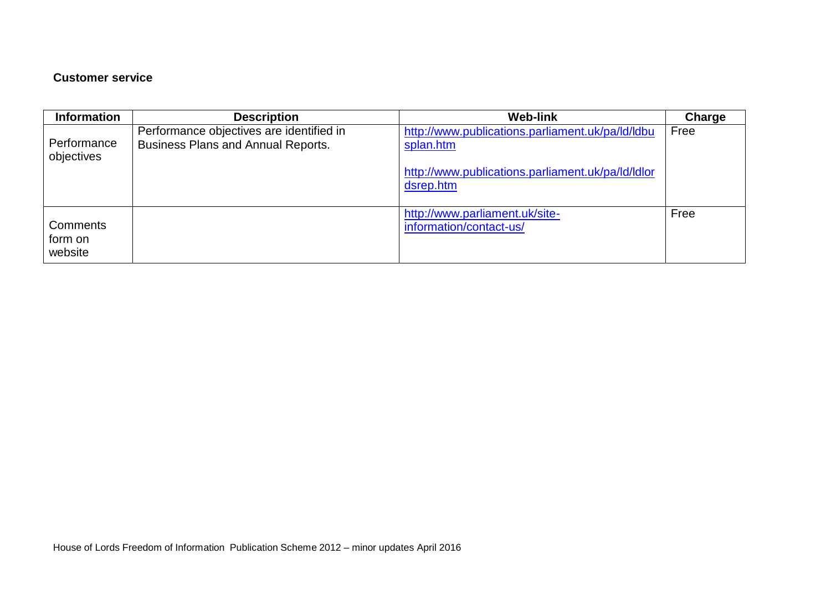## **Customer service**

| <b>Information</b>                    | <b>Description</b>                                                                    | <b>Web-link</b>                                                                                                                 | Charge |
|---------------------------------------|---------------------------------------------------------------------------------------|---------------------------------------------------------------------------------------------------------------------------------|--------|
| Performance<br>objectives             | Performance objectives are identified in<br><b>Business Plans and Annual Reports.</b> | http://www.publications.parliament.uk/pa/ld/ldbu<br>splan.htm<br>http://www.publications.parliament.uk/pa/ld/ldlor<br>dsrep.htm | Free   |
| <b>Comments</b><br>form on<br>website |                                                                                       | http://www.parliament.uk/site-<br>information/contact-us/                                                                       | Free   |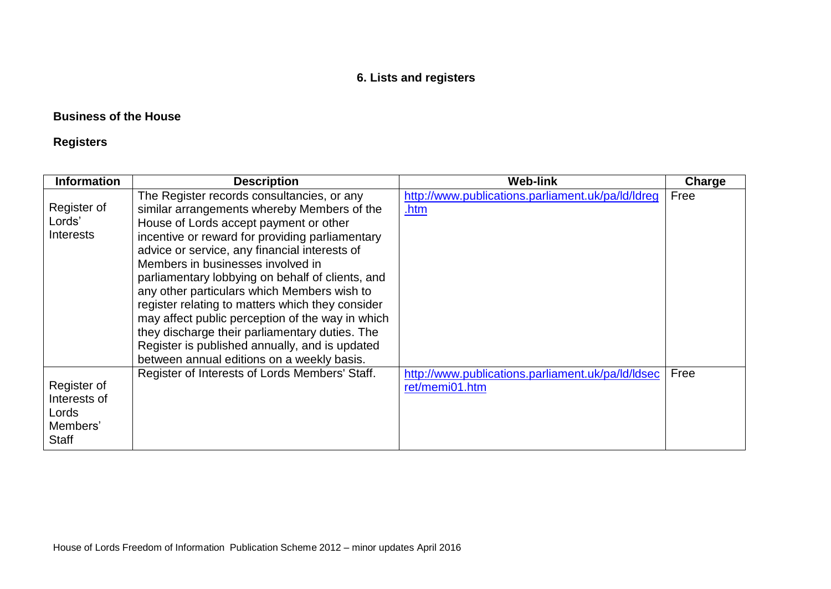# **6. Lists and registers**

## **Business of the House**

# **Registers**

| <b>Information</b>                                        | <b>Description</b>                                                                                                                                                                                                                                                                                                                                                                                                                                                                                                                                                                                                                        | <b>Web-link</b>                                                     | Charge |
|-----------------------------------------------------------|-------------------------------------------------------------------------------------------------------------------------------------------------------------------------------------------------------------------------------------------------------------------------------------------------------------------------------------------------------------------------------------------------------------------------------------------------------------------------------------------------------------------------------------------------------------------------------------------------------------------------------------------|---------------------------------------------------------------------|--------|
| Register of<br>Lords'<br><b>Interests</b>                 | The Register records consultancies, or any<br>similar arrangements whereby Members of the<br>House of Lords accept payment or other<br>incentive or reward for providing parliamentary<br>advice or service, any financial interests of<br>Members in businesses involved in<br>parliamentary lobbying on behalf of clients, and<br>any other particulars which Members wish to<br>register relating to matters which they consider<br>may affect public perception of the way in which<br>they discharge their parliamentary duties. The<br>Register is published annually, and is updated<br>between annual editions on a weekly basis. | http://www.publications.parliament.uk/pa/ld/ldreg<br>.htm           | Free   |
| Register of<br>Interests of<br>Lords<br>Members'<br>Staff | Register of Interests of Lords Members' Staff.                                                                                                                                                                                                                                                                                                                                                                                                                                                                                                                                                                                            | http://www.publications.parliament.uk/pa/ld/ldsec<br>ret/memi01.htm | Free   |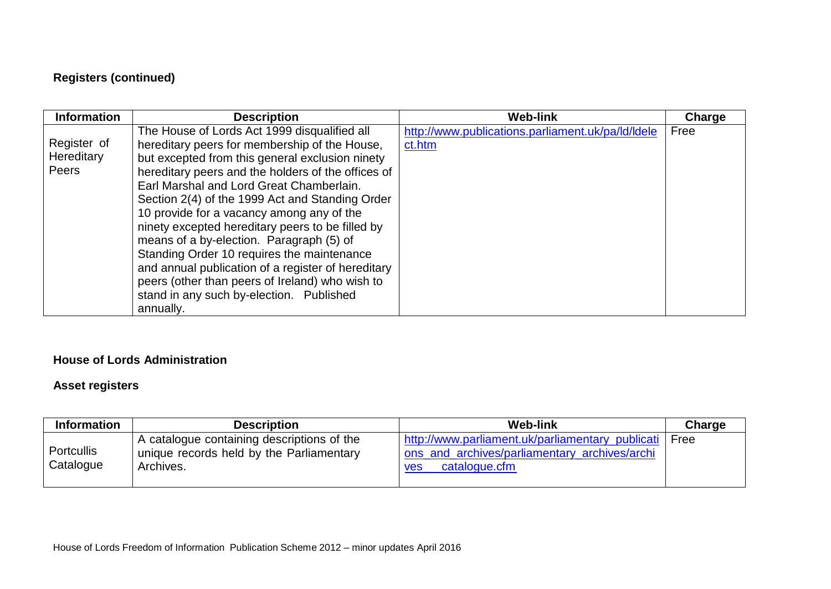# **Registers (continued)**

| <b>Information</b>                 | <b>Description</b>                                                                                                                                                                                                                                                                                                                                                                                                                                                                                                                                                                                                                                                 | <b>Web-link</b>                                             | Charge |
|------------------------------------|--------------------------------------------------------------------------------------------------------------------------------------------------------------------------------------------------------------------------------------------------------------------------------------------------------------------------------------------------------------------------------------------------------------------------------------------------------------------------------------------------------------------------------------------------------------------------------------------------------------------------------------------------------------------|-------------------------------------------------------------|--------|
| Register of<br>Hereditary<br>Peers | The House of Lords Act 1999 disqualified all<br>hereditary peers for membership of the House,<br>but excepted from this general exclusion ninety<br>hereditary peers and the holders of the offices of<br>Earl Marshal and Lord Great Chamberlain.<br>Section 2(4) of the 1999 Act and Standing Order<br>10 provide for a vacancy among any of the<br>ninety excepted hereditary peers to be filled by<br>means of a by-election. Paragraph (5) of<br>Standing Order 10 requires the maintenance<br>and annual publication of a register of hereditary<br>peers (other than peers of Ireland) who wish to<br>stand in any such by-election. Published<br>annually. | http://www.publications.parliament.uk/pa/ld/ldele<br>ct.htm | Free   |

## **House of Lords Administration**

## **Asset registers**

| <b>Information</b>             | <b>Description</b>                                                                                  | <b>Web-link</b>                                                                                                           | Charge |
|--------------------------------|-----------------------------------------------------------------------------------------------------|---------------------------------------------------------------------------------------------------------------------------|--------|
| <b>Portcullis</b><br>Catalogue | A catalogue containing descriptions of the<br>unique records held by the Parliamentary<br>Archives. | http://www.parliament.uk/parliamentary publicati<br>ons and archives/parliamentary archives/archi<br>catalogue.cfm<br>ves | Free   |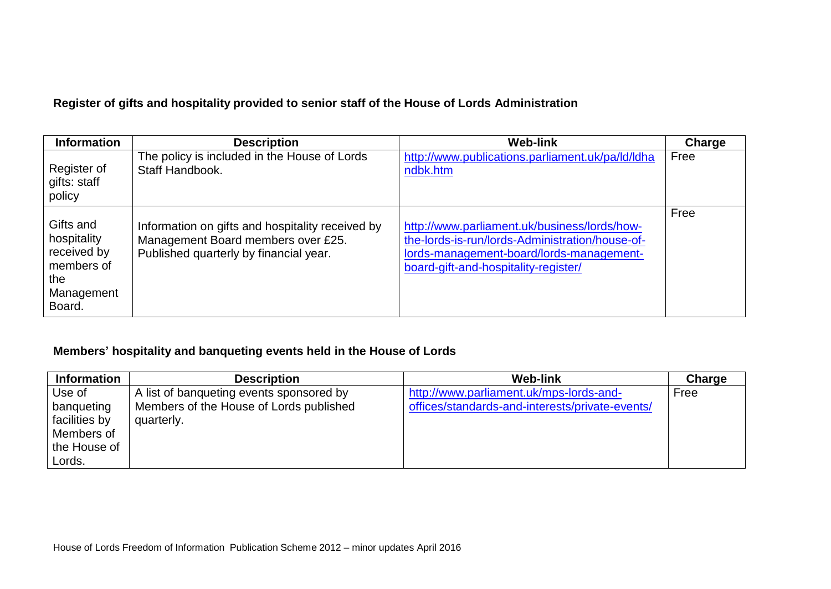## **Register of gifts and hospitality provided to senior staff of the House of Lords Administration**

| <b>Information</b>                                                                   | <b>Description</b>                                                                                                               | <b>Web-link</b>                                                                                                                                                                     | <b>Charge</b> |
|--------------------------------------------------------------------------------------|----------------------------------------------------------------------------------------------------------------------------------|-------------------------------------------------------------------------------------------------------------------------------------------------------------------------------------|---------------|
| Register of<br>gifts: staff<br>policy                                                | The policy is included in the House of Lords<br>Staff Handbook.                                                                  | http://www.publications.parliament.uk/pa/ld/ldha<br>ndbk.htm                                                                                                                        | Free          |
| Gifts and<br>hospitality<br>received by<br>members of<br>the<br>Management<br>Board. | Information on gifts and hospitality received by<br>Management Board members over £25.<br>Published quarterly by financial year. | http://www.parliament.uk/business/lords/how-<br>the-lords-is-run/lords-Administration/house-of-<br>lords-management-board/lords-management-<br>board-gift-and-hospitality-register/ | Free          |

## **Members' hospitality and banqueting events held in the House of Lords**

| <b>Information</b> | <b>Description</b>                       | <b>Web-link</b>                                 | Charge |
|--------------------|------------------------------------------|-------------------------------------------------|--------|
| Use of             | A list of banqueting events sponsored by | http://www.parliament.uk/mps-lords-and-         | Free   |
| banqueting         | Members of the House of Lords published  | offices/standards-and-interests/private-events/ |        |
| facilities by      | quarterly.                               |                                                 |        |
| Members of         |                                          |                                                 |        |
| the House of       |                                          |                                                 |        |
| Lords.             |                                          |                                                 |        |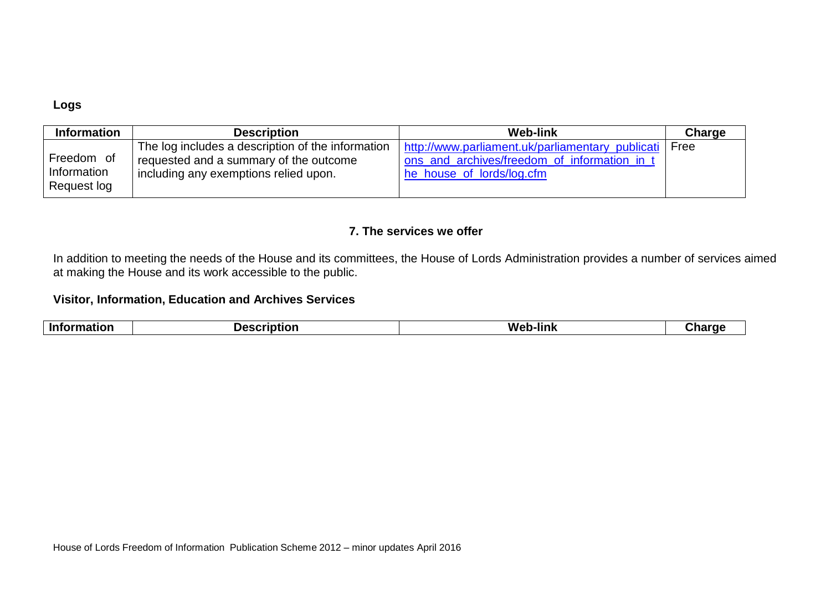#### **Logs**

| <b>Information</b> | <b>Description</b>                                | <b>Web-link</b>                                  | Charge |
|--------------------|---------------------------------------------------|--------------------------------------------------|--------|
| Freedom of         | The log includes a description of the information | http://www.parliament.uk/parliamentary publicati | Free   |
| Information        | requested and a summary of the outcome            | ons_and_archives/freedom_of_information_in_t     |        |
| Request log        | including any exemptions relied upon.             | he house of lords/log.cfm                        |        |

#### **7. The services we offer**

In addition to meeting the needs of the House and its committees, the House of Lords Administration provides a number of services aimed at making the House and its work accessible to the public.

#### **Visitor, Information, Education and Archives Services**

| <b>Inforn</b><br>M۵.<br> |  |
|--------------------------|--|
|--------------------------|--|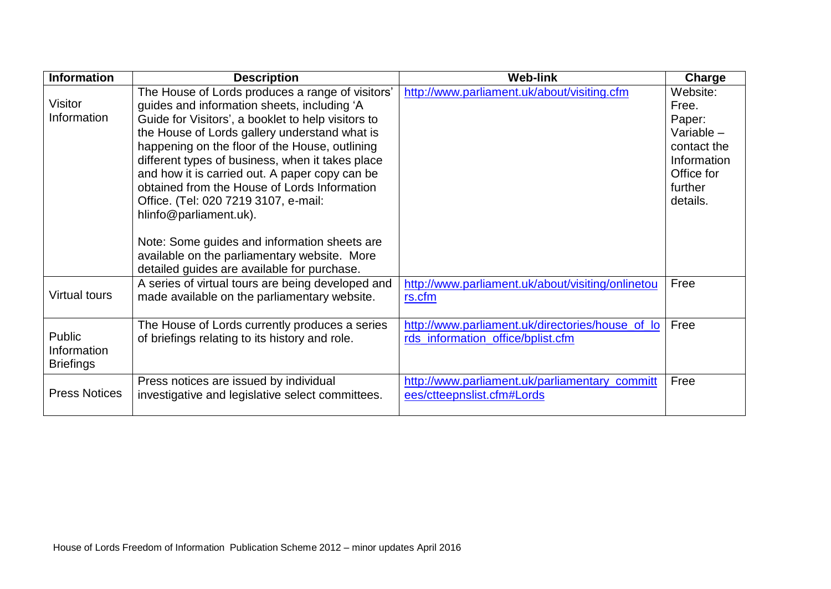| <b>Information</b>                        | <b>Description</b>                                                                                                                                                                                                                                                                                                                                                                                                                                                                                                                                                               | <b>Web-link</b>                                                                       | Charge                                                                                                       |
|-------------------------------------------|----------------------------------------------------------------------------------------------------------------------------------------------------------------------------------------------------------------------------------------------------------------------------------------------------------------------------------------------------------------------------------------------------------------------------------------------------------------------------------------------------------------------------------------------------------------------------------|---------------------------------------------------------------------------------------|--------------------------------------------------------------------------------------------------------------|
| Visitor<br>Information                    | The House of Lords produces a range of visitors'<br>guides and information sheets, including 'A<br>Guide for Visitors', a booklet to help visitors to<br>the House of Lords gallery understand what is<br>happening on the floor of the House, outlining<br>different types of business, when it takes place<br>and how it is carried out. A paper copy can be<br>obtained from the House of Lords Information<br>Office. (Tel: 020 7219 3107, e-mail:<br>hlinfo@parliament.uk).<br>Note: Some guides and information sheets are<br>available on the parliamentary website. More | http://www.parliament.uk/about/visiting.cfm                                           | Website:<br>Free.<br>Paper:<br>Variable -<br>contact the<br>Information<br>Office for<br>further<br>details. |
| <b>Virtual tours</b>                      | detailed guides are available for purchase.<br>A series of virtual tours are being developed and<br>made available on the parliamentary website.                                                                                                                                                                                                                                                                                                                                                                                                                                 | http://www.parliament.uk/about/visiting/onlinetou<br>rs.cfm                           | Free                                                                                                         |
| Public<br>Information<br><b>Briefings</b> | The House of Lords currently produces a series<br>of briefings relating to its history and role.                                                                                                                                                                                                                                                                                                                                                                                                                                                                                 | http://www.parliament.uk/directories/house of lo<br>rds_information_office/bplist.cfm | Free                                                                                                         |
| <b>Press Notices</b>                      | Press notices are issued by individual<br>investigative and legislative select committees.                                                                                                                                                                                                                                                                                                                                                                                                                                                                                       | http://www.parliament.uk/parliamentary_committ<br>ees/ctteepnslist.cfm#Lords          | Free                                                                                                         |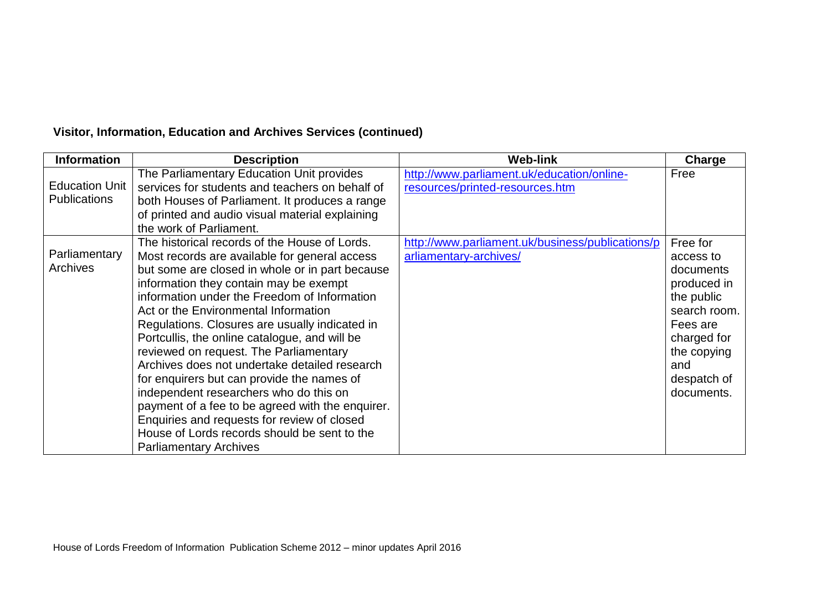# **Visitor, Information, Education and Archives Services (continued)**

| <b>Information</b>    | <b>Description</b>                               | <b>Web-link</b>                                  | Charge       |
|-----------------------|--------------------------------------------------|--------------------------------------------------|--------------|
|                       | The Parliamentary Education Unit provides        | http://www.parliament.uk/education/online-       | Free         |
| <b>Education Unit</b> | services for students and teachers on behalf of  | resources/printed-resources.htm                  |              |
| <b>Publications</b>   | both Houses of Parliament. It produces a range   |                                                  |              |
|                       | of printed and audio visual material explaining  |                                                  |              |
|                       | the work of Parliament.                          |                                                  |              |
|                       | The historical records of the House of Lords.    | http://www.parliament.uk/business/publications/p | Free for     |
| Parliamentary         | Most records are available for general access    | arliamentary-archives/                           | access to    |
| Archives              | but some are closed in whole or in part because  |                                                  | documents    |
|                       | information they contain may be exempt           |                                                  | produced in  |
|                       | information under the Freedom of Information     |                                                  | the public   |
|                       | Act or the Environmental Information             |                                                  | search room. |
|                       | Regulations. Closures are usually indicated in   |                                                  | Fees are     |
|                       | Portcullis, the online catalogue, and will be    |                                                  | charged for  |
|                       | reviewed on request. The Parliamentary           |                                                  | the copying  |
|                       | Archives does not undertake detailed research    |                                                  | and          |
|                       | for enquirers but can provide the names of       |                                                  | despatch of  |
|                       | independent researchers who do this on           |                                                  | documents.   |
|                       | payment of a fee to be agreed with the enquirer. |                                                  |              |
|                       | Enquiries and requests for review of closed      |                                                  |              |
|                       | House of Lords records should be sent to the     |                                                  |              |
|                       | <b>Parliamentary Archives</b>                    |                                                  |              |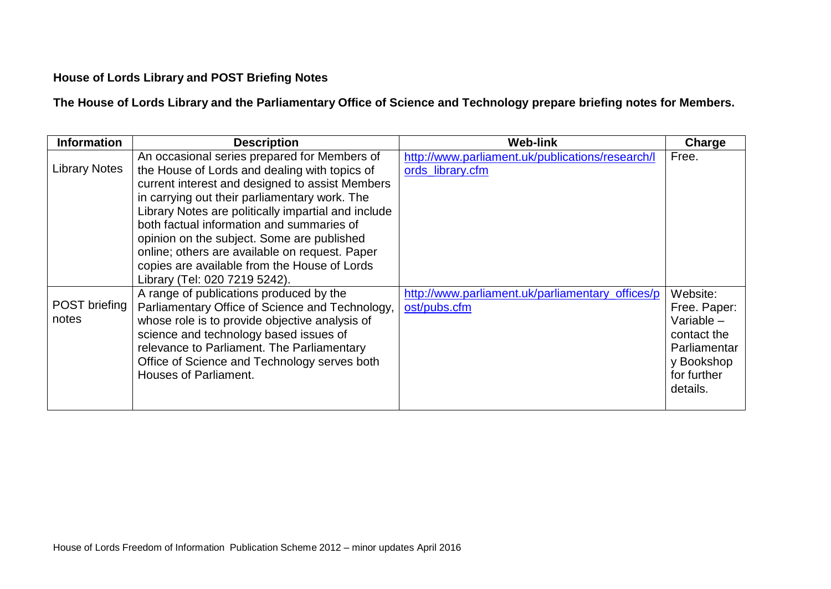## **House of Lords Library and POST Briefing Notes**

**The House of Lords Library and the Parliamentary Office of Science and Technology prepare briefing notes for Members.**

| <b>Information</b>            | <b>Description</b>                                                                                                                                                                                                                                                                                                                                                                                                                                                                     | <b>Web-link</b>                                                      | Charge                                                                                                           |
|-------------------------------|----------------------------------------------------------------------------------------------------------------------------------------------------------------------------------------------------------------------------------------------------------------------------------------------------------------------------------------------------------------------------------------------------------------------------------------------------------------------------------------|----------------------------------------------------------------------|------------------------------------------------------------------------------------------------------------------|
| <b>Library Notes</b>          | An occasional series prepared for Members of<br>the House of Lords and dealing with topics of<br>current interest and designed to assist Members<br>in carrying out their parliamentary work. The<br>Library Notes are politically impartial and include<br>both factual information and summaries of<br>opinion on the subject. Some are published<br>online; others are available on request. Paper<br>copies are available from the House of Lords<br>Library (Tel: 020 7219 5242). | http://www.parliament.uk/publications/research/l<br>ords_library.cfm | Free.                                                                                                            |
| <b>POST briefing</b><br>notes | A range of publications produced by the<br>Parliamentary Office of Science and Technology,<br>whose role is to provide objective analysis of<br>science and technology based issues of<br>relevance to Parliament. The Parliamentary<br>Office of Science and Technology serves both<br><b>Houses of Parliament.</b>                                                                                                                                                                   | http://www.parliament.uk/parliamentary_offices/p<br>ost/pubs.cfm     | Website:<br>Free. Paper:<br>Variable $-$<br>contact the<br>Parliamentar<br>y Bookshop<br>for further<br>details. |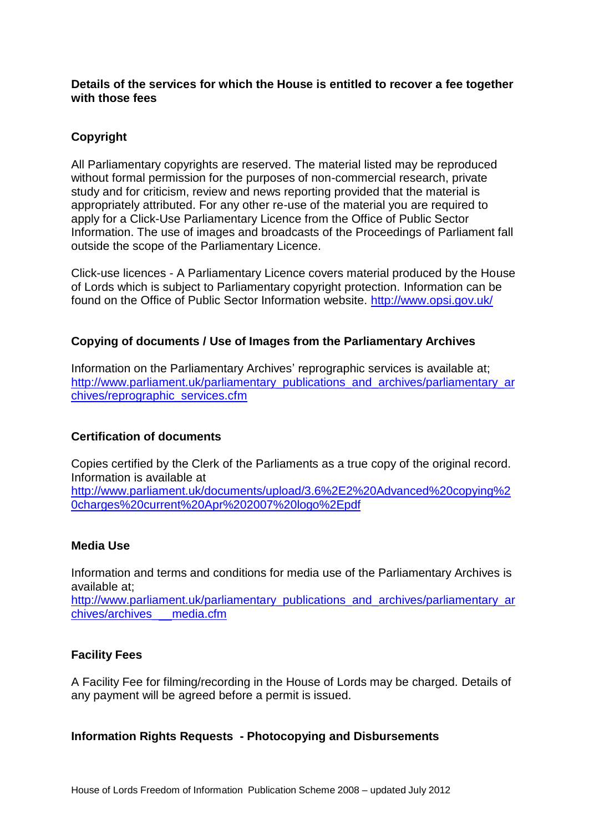**Details of the services for which the House is entitled to recover a fee together with those fees**

#### **Copyright**

All Parliamentary copyrights are reserved. The material listed may be reproduced without formal permission for the purposes of non-commercial research, private study and for criticism, review and news reporting provided that the material is appropriately attributed. For any other re-use of the material you are required to apply for a Click-Use Parliamentary Licence from the Office of Public Sector Information. The use of images and broadcasts of the Proceedings of Parliament fall outside the scope of the Parliamentary Licence.

Click-use licences - A Parliamentary Licence covers material produced by the House of Lords which is subject to Parliamentary copyright protection. Information can be found on the Office of Public Sector Information website.<http://www.opsi.gov.uk/>

#### **Copying of documents / Use of Images from the Parliamentary Archives**

Information on the Parliamentary Archives' reprographic services is available at; [http://www.parliament.uk/parliamentary\\_publications\\_and\\_archives/parliamentary\\_ar](http://www.parliament.uk/parliamentary_publications_and_archives/parliamentary_archives/reprographic_services.cfm) [chives/reprographic\\_services.cfm](http://www.parliament.uk/parliamentary_publications_and_archives/parliamentary_archives/reprographic_services.cfm)

#### **Certification of documents**

Copies certified by the Clerk of the Parliaments as a true copy of the original record. Information is available at

[http://www.parliament.uk/documents/upload/3.6%2E2%20Advanced%20copying%2](http://www.parliament.uk/documents/upload/3.6.2%20Advanced%20copying%20charges%20current%20Apr%202007%20logo.pdf) [0charges%20current%20Apr%202007%20logo%2Epdf](http://www.parliament.uk/documents/upload/3.6.2%20Advanced%20copying%20charges%20current%20Apr%202007%20logo.pdf)

#### **Media Use**

Information and terms and conditions for media use of the Parliamentary Archives is available at;

[http://www.parliament.uk/parliamentary\\_publications\\_and\\_archives/parliamentary\\_ar](http://www.parliament.uk/parliamentary_publications_and_archives/parliamentary_archives/archives___media.cfm) [chives/archives\\_](http://www.parliament.uk/parliamentary_publications_and_archives/parliamentary_archives/archives___media.cfm) [media.cfm](http://www.parliament.uk/parliamentary_publications_and_archives/parliamentary_archives/archives___media.cfm)

#### **Facility Fees**

A Facility Fee for filming/recording in the House of Lords may be charged. Details of any payment will be agreed before a permit is issued.

#### **Information Rights Requests - Photocopying and Disbursements**